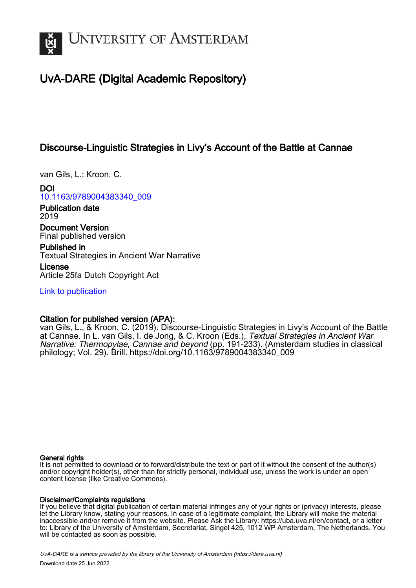

# UvA-DARE (Digital Academic Repository)

# Discourse-Linguistic Strategies in Livy's Account of the Battle at Cannae

van Gils, L.; Kroon, C.

DOI [10.1163/9789004383340\\_009](https://doi.org/10.1163/9789004383340_009)

Publication date 2019

Document Version Final published version

Published in Textual Strategies in Ancient War Narrative

License Article 25fa Dutch Copyright Act

[Link to publication](https://dare.uva.nl/personal/pure/en/publications/discourselinguistic-strategies-in-livys-account-of-the-battle-at-cannae(716fa486-4663-486b-b15d-ec3ed9fc5863).html)

# Citation for published version (APA):

van Gils, L., & Kroon, C. (2019). Discourse-Linguistic Strategies in Livy's Account of the Battle at Cannae. In L. van Gils, I. de Jong, & C. Kroon (Eds.), *Textual Strategies in Ancient War* Narrative: Thermopylae, Cannae and beyond (pp. 191-233). (Amsterdam studies in classical philology; Vol. 29). Brill. [https://doi.org/10.1163/9789004383340\\_009](https://doi.org/10.1163/9789004383340_009)

## General rights

It is not permitted to download or to forward/distribute the text or part of it without the consent of the author(s) and/or copyright holder(s), other than for strictly personal, individual use, unless the work is under an open content license (like Creative Commons).

## Disclaimer/Complaints regulations

If you believe that digital publication of certain material infringes any of your rights or (privacy) interests, please let the Library know, stating your reasons. In case of a legitimate complaint, the Library will make the material inaccessible and/or remove it from the website. Please Ask the Library: https://uba.uva.nl/en/contact, or a letter to: Library of the University of Amsterdam, Secretariat, Singel 425, 1012 WP Amsterdam, The Netherlands. You will be contacted as soon as possible.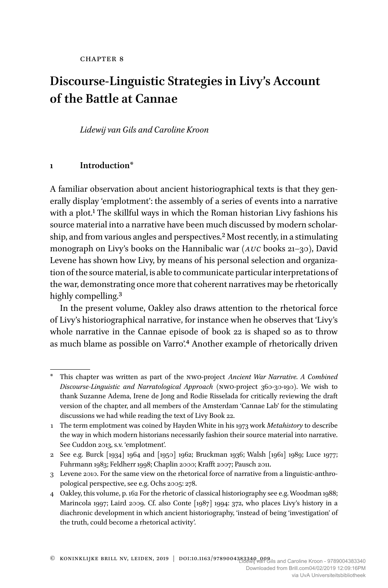# **Discourse-Linguistic Strategies in Livy's Account of the Battle at Cannae**

*Lidewij van Gils and Caroline Kroon*

## **1 Introduction**\*

A familiar observation about ancient historiographical texts is that they generally display 'emplotment': the assembly of a series of events into a narrative with a plot.<sup>1</sup> The skillful ways in which the Roman historian Livy fashions his source material into a narrative have been much discussed by modern scholarship, and from various angles and perspectives.<sup>2</sup> Most recently, in a stimulating monograph on Livy's books on the Hannibalic war (*AUC* books 21–30), David Levene has shown how Livy, by means of his personal selection and organization of the source material, is able to communicate particular interpretations of the war, demonstrating once more that coherent narratives may be rhetorically highly compelling.<sup>3</sup>

In the present volume, Oakley also draws attention to the rhetorical force of Livy's historiographical narrative, for instance when he observes that 'Livy's whole narrative in the Cannae episode of book 22 is shaped so as to throw as much blame as possible on Varro'.4 Another example of rhetorically driven

<sup>\*</sup> This chapter was written as part of the NWO-project *Ancient War Narrative. A Combined Discourse-Linguistic and Narratological Approach* (NWO-project 360-30-190). We wish to thank Suzanne Adema, Irene de Jong and Rodie Risselada for critically reviewing the draft version of the chapter, and all members of the Amsterdam 'Cannae Lab' for the stimulating discussions we had while reading the text of Livy Book 22.

<sup>1</sup> The term emplotment was coined by Hayden White in his 1973 work *Metahistory* to describe the way in which modern historians necessarily fashion their source material into narrative. See Cuddon 2013, s.v. 'emplotment'.

<sup>2</sup> See e.g. Burck [1934] 1964 and [1950] 1962; Bruckman 1936; Walsh [1961] 1989; Luce 1977; Fuhrmann 1983; Feldherr 1998; Chaplin 2000; Krafft 2007; Pausch 2011.

<sup>3</sup> Levene 2010. For the same view on the rhetorical force of narrative from a linguistic-anthropological perspective, see e.g. Ochs 2005: 278.

<sup>4</sup> Oakley, this volume, p. 162 For the rhetoric of classical historiography see e.g. Woodman 1988; Marincola 1997; Laird 2009. Cf. also Conte [1987] 1994: 372, who places Livy's history in a diachronic development in which ancient historiography, 'instead of being 'investigation' of the truth, could become a rhetorical activity'.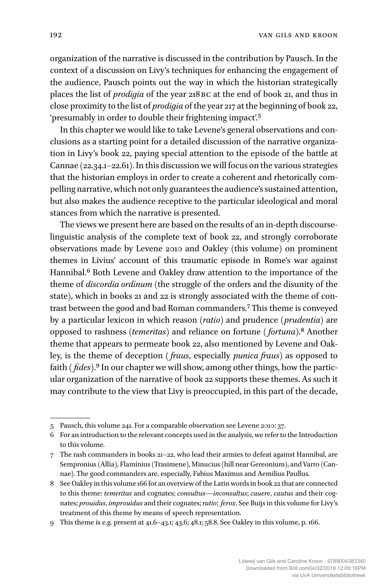organization of the narrative is discussed in the contribution by Pausch. In the context of a discussion on Livy's techniques for enhancing the engagement of the audience, Pausch points out the way in which the historian strategically places the list of *prodigia* of the year 218BC at the end of book 21, and thus in close proximity to the list of *prodigia* of the year 217 at the beginning of book 22, 'presumably in order to double their frightening impact'.5

In this chapter we would like to take Levene's general observations and conclusions as a starting point for a detailed discussion of the narrative organization in Livy's book 22, paying special attention to the episode of the battle at Cannae (22.34.1–22.61). In this discussion we will focus on the various strategies that the historian employs in order to create a coherent and rhetorically compelling narrative,which not only guarantees the audience's sustained attention, but also makes the audience receptive to the particular ideological and moral stances from which the narrative is presented.

The views we present here are based on the results of an in-depth discourselinguistic analysis of the complete text of book 22, and strongly corroborate observations made by Levene 2010 and Oakley (this volume) on prominent themes in Livius' account of this traumatic episode in Rome's war against Hannibal.<sup>6</sup> Both Levene and Oakley draw attention to the importance of the theme of *discordia ordinum* (the struggle of the orders and the disunity of the state), which in books 21 and 22 is strongly associated with the theme of contrast between the good and bad Roman commanders.7 This theme is conveyed by a particular lexicon in which reason (*ratio*) and prudence (*prudentia*) are opposed to rashness (*temeritas*) and reliance on fortune ( *fortuna*).8 Another theme that appears to permeate book 22, also mentioned by Levene and Oakley, is the theme of deception ( *fraus*, especially *punica fraus*) as opposed to faith (*fides*).<sup>9</sup> In our chapter we will show, among other things, how the particular organization of the narrative of book 22 supports these themes. As such it may contribute to the view that Livy is preoccupied, in this part of the decade,

<sup>5</sup> Pausch, this volume 241. For a comparable observation see Levene 2010: 37.

<sup>6</sup> For an introduction to the relevant concepts used in the analysis, we refer to the Introduction to this volume.

<sup>7</sup> The rash commanders in books 21–22, who lead their armies to defeat against Hannibal, are Sempronius (Allia), Flaminius (Trasimene), Minucius (hill near Gereonium), and Varro (Cannae). The good commanders are, especially, Fabius Maximus and Aemilius Paullus.

<sup>8</sup> See Oakley in this volume166 for an overview of the Latin words in book 22 that are connected to this theme: *temeritas* and cognates; *consultus*—*inconsultus*; *cauere*, *cautus* and their cognates; *prouidus*, *improuidus* and their cognates;*ratio*; *ferox*. See Buijs in this volume for Livy's treatment of this theme by means of speech representation.

<sup>9</sup> This theme is e.g. present at 41.6–43.1; 43.6; 48.1; 58.8. See Oakley in this volume, p. 166.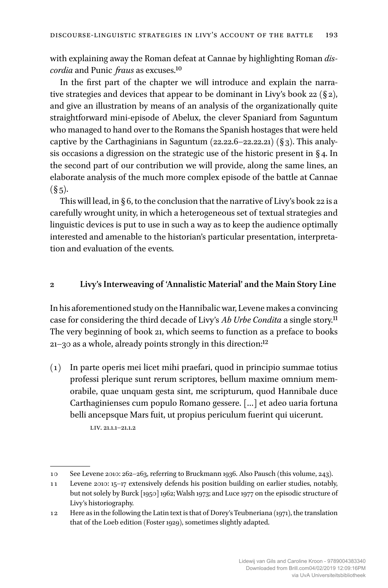with explaining away the Roman defeat at Cannae by highlighting Roman *discordia* and Punic *fraus* as excuses.10

In the first part of the chapter we will introduce and explain the narrative strategies and devices that appear to be dominant in Livy's book 22 ( $\S$ 2), and give an illustration by means of an analysis of the organizationally quite straightforward mini-episode of Abelux, the clever Spaniard from Saguntum who managed to hand over to the Romans the Spanish hostages that were held captive by the Carthaginians in Saguntum  $(22.22.6-22.22.21)$   $(\S_3)$ . This analysis occasions a digression on the strategic use of the historic present in §4. In the second part of our contribution we will provide, along the same lines, an elaborate analysis of the much more complex episode of the battle at Cannae  $(S<sub>5</sub>)$ .

This will lead, in §6, to the conclusion that the narrative of Livy's book 22 is a carefully wrought unity, in which a heterogeneous set of textual strategies and linguistic devices is put to use in such a way as to keep the audience optimally interested and amenable to the historian's particular presentation, interpretation and evaluation of the events.

## **2 Livy's Interweaving of 'Annalistic Material' and the Main Story Line**

In his aforementioned study on the Hannibalic war, Levene makes a convincing case for considering the third decade of Livy's *Ab Urbe Condita* a single story.11 The very beginning of book 21, which seems to function as a preface to books 21–30 as a whole, already points strongly in this direction:12

(1) In parte operis mei licet mihi praefari, quod in principio summae totius professi plerique sunt rerum scriptores, bellum maxime omnium memorabile, quae unquam gesta sint, me scripturum, quod Hannibale duce Carthaginienses cum populo Romano gessere. […] et adeo uaria fortuna belli ancepsque Mars fuit, ut propius periculum fuerint qui uicerunt. LIV. 21.1.1–21.1.2

<sup>10</sup> See Levene 2010: 262–263, referring to Bruckmann 1936. Also Pausch (this volume, 243).

<sup>11</sup> Levene 2010: 15–17 extensively defends his position building on earlier studies, notably, but not solely by Burck [1950] 1962; Walsh 1973; and Luce 1977 on the episodic structure of Livy's historiography.

<sup>12</sup> Here as in the following the Latin text is that of Dorey's Teubneriana (1971), the translation that of the Loeb edition (Foster 1929), sometimes slightly adapted.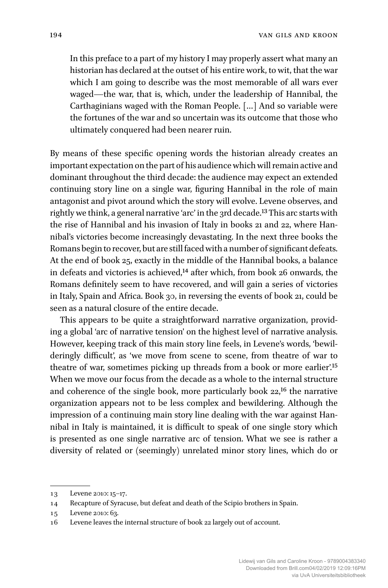In this preface to a part of my history I may properly assert what many an historian has declared at the outset of his entire work, to wit, that the war which I am going to describe was the most memorable of all wars ever waged—the war, that is, which, under the leadership of Hannibal, the Carthaginians waged with the Roman People. […] And so variable were the fortunes of the war and so uncertain was its outcome that those who ultimately conquered had been nearer ruin.

By means of these specific opening words the historian already creates an important expectation on the part of his audience which will remain active and dominant throughout the third decade: the audience may expect an extended continuing story line on a single war, figuring Hannibal in the role of main antagonist and pivot around which the story will evolve. Levene observes, and rightly we think, a general narrative 'arc' in the 3rd decade.13 This arc starts with the rise of Hannibal and his invasion of Italy in books 21 and 22, where Hannibal's victories become increasingly devastating. In the next three books the Romans begin to recover, but are still faced with a number of significant defeats. At the end of book 25, exactly in the middle of the Hannibal books, a balance in defeats and victories is achieved,<sup>14</sup> after which, from book 26 onwards, the Romans definitely seem to have recovered, and will gain a series of victories in Italy, Spain and Africa. Book 30, in reversing the events of book 21, could be seen as a natural closure of the entire decade.

This appears to be quite a straightforward narrative organization, providing a global 'arc of narrative tension' on the highest level of narrative analysis. However, keeping track of this main story line feels, in Levene's words, 'bewilderingly difficult', as 'we move from scene to scene, from theatre of war to theatre of war, sometimes picking up threads from a book or more earlier'.15 When we move our focus from the decade as a whole to the internal structure and coherence of the single book, more particularly book 22,16 the narrative organization appears not to be less complex and bewildering. Although the impression of a continuing main story line dealing with the war against Hannibal in Italy is maintained, it is difficult to speak of one single story which is presented as one single narrative arc of tension. What we see is rather a diversity of related or (seemingly) unrelated minor story lines, which do or

<sup>13</sup> Levene 2010: 15–17.

<sup>14</sup> Recapture of Syracuse, but defeat and death of the Scipio brothers in Spain.

<sup>15</sup> Levene 2010: 63.

<sup>16</sup> Levene leaves the internal structure of book 22 largely out of account.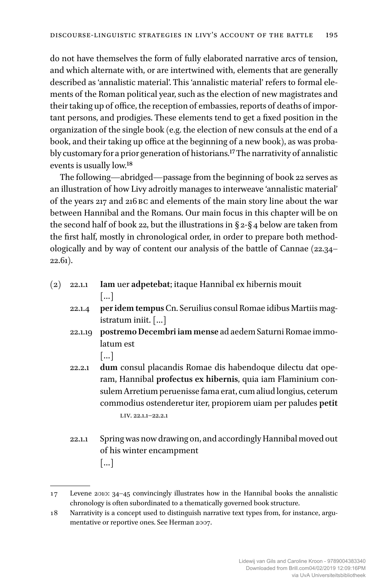do not have themselves the form of fully elaborated narrative arcs of tension, and which alternate with, or are intertwined with, elements that are generally described as 'annalistic material'. This 'annalistic material' refers to formal elements of the Roman political year, such as the election of new magistrates and their taking up of office, the reception of embassies, reports of deaths of important persons, and prodigies. These elements tend to get a fixed position in the organization of the single book (e.g. the election of new consuls at the end of a book, and their taking up office at the beginning of a new book), as was probably customary for a prior generation of historians.<sup>17</sup>The narrativity of annalistic events is usually low.18

The following—abridged—passage from the beginning of book 22 serves as an illustration of how Livy adroitly manages to interweave 'annalistic material' of the years 217 and 216BC and elements of the main story line about the war between Hannibal and the Romans. Our main focus in this chapter will be on the second half of book 22, but the illustrations in  $\S$  2- $\S$  4 below are taken from the first half, mostly in chronological order, in order to prepare both methodologically and by way of content our analysis of the battle of Cannae (22.34– 22.61).

| $\left( 2\right)$ | 22.1.1 | Iam uer adpetebat; itaque Hannibal ex hibernis mouit            |
|-------------------|--------|-----------------------------------------------------------------|
|                   |        | $\vert \dots \vert$                                             |
|                   | 22.1.4 | per idem tempus Cn. Seruilius consul Romae idibus Martiis mag-  |
|                   |        | istratum iniit. $[\dots]$                                       |
| 22.1.19           |        | postremo Decembri iam mense ad aedem Saturni Romae immo-        |
|                   |        | latum est                                                       |
|                   |        | $\vert \dots \vert$                                             |
|                   | 22.2.1 | dum consul placandis Romae dis habendoque dilectu dat ope-      |
|                   |        | ram, Hannibal profectus ex hibernis, quia iam Flaminium con-    |
|                   |        | sulem Arretium peruenisse fama erat, cum aliud longius, ceterum |
|                   |        | commodius ostenderetur iter, propiorem uiam per paludes petit   |
|                   |        | LIV. 22.1.1-22.2.1                                              |
|                   |        |                                                                 |
|                   | 22.1.1 | Spring was now drawing on, and accordingly Hannibal moved out   |

22.1.1 Spring was now drawing on, and accordingly Hannibal moved out of his winter encampment […]

<sup>17</sup> Levene 2010: 34–45 convincingly illustrates how in the Hannibal books the annalistic chronology is often subordinated to a thematically governed book structure.

<sup>18</sup> Narrativity is a concept used to distinguish narrative text types from, for instance, argumentative or reportive ones. See Herman 2007.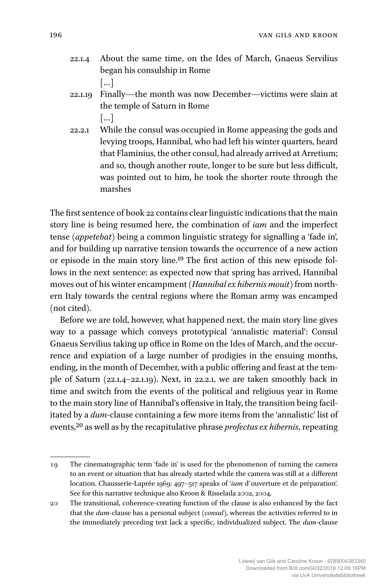- 22.1.4 About the same time, on the Ides of March, Gnaeus Servilius began his consulship in Rome […]
- 22.1.19 Finally—the month was now December—victims were slain at the temple of Saturn in Rome […]
- 22.2.1 While the consul was occupied in Rome appeasing the gods and levying troops, Hannibal, who had left his winter quarters, heard that Flaminius, the other consul, had already arrived at Arretium; and so, though another route, longer to be sure but less difficult, was pointed out to him, he took the shorter route through the marshes

The first sentence of book 22 contains clear linguistic indications that the main story line is being resumed here, the combination of *iam* and the imperfect tense (*appetebat*) being a common linguistic strategy for signalling a 'fade in', and for building up narrative tension towards the occurrence of a new action or episode in the main story line.19 The first action of this new episode follows in the next sentence: as expected now that spring has arrived, Hannibal moves out of his winter encampment (*Hannibal ex hibernis mouit*) from northern Italy towards the central regions where the Roman army was encamped (not cited).

Before we are told, however, what happened next, the main story line gives way to a passage which conveys prototypical 'annalistic material': Consul Gnaeus Servilius taking up office in Rome on the Ides of March, and the occurrence and expiation of a large number of prodigies in the ensuing months, ending, in the month of December, with a public offering and feast at the temple of Saturn (22.1.4–22.1.19). Next, in 22.2.1, we are taken smoothly back in time and switch from the events of the political and religious year in Rome to the main story line of Hannibal's offensive in Italy, the transition being facilitated by a *dum*-clause containing a few more items from the 'annalistic' list of events,20 as well as by the recapitulative phrase *profectus ex hibernis*, repeating

<sup>19</sup> The cinematographic term 'fade in' is used for the phenomenon of turning the camera to an event or situation that has already started while the camera was still at a different location. Chausserie-Laprée 1969: 497–517 speaks of '*iam* d'ouverture et de préparation'. See for this narrative technique also Kroon & Risselada 2002, 2004.

<sup>20</sup> The transitional, coherence-creating function of the clause is also enhanced by the fact that the *dum*-clause has a personal subject (*consul*), whereas the activities referred to in the immediately preceding text lack a specific, individualized subject. The *dum*-clause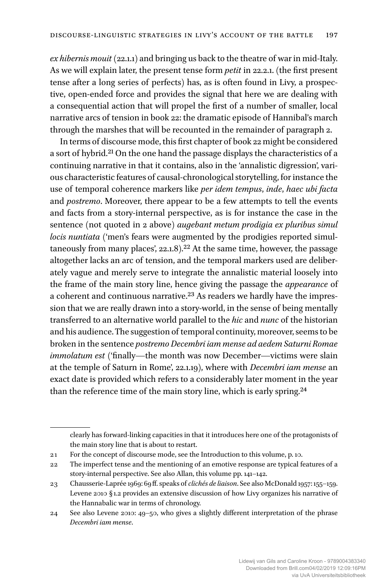*ex hibernis mouit* (22.1.1) and bringing us back to the theatre of war in mid-Italy. As we will explain later, the present tense form *petit* in 22.2.1. (the first present tense after a long series of perfects) has, as is often found in Livy, a prospective, open-ended force and provides the signal that here we are dealing with a consequential action that will propel the first of a number of smaller, local narrative arcs of tension in book 22: the dramatic episode of Hannibal's march through the marshes that will be recounted in the remainder of paragraph 2.

In terms of discourse mode, this first chapter of book 22 might be considered a sort of hybrid.21 On the one hand the passage displays the characteristics of a continuing narrative in that it contains, also in the 'annalistic digression', various characteristic features of causal-chronological storytelling, for instance the use of temporal coherence markers like *per idem tempus*, *inde*, *haec ubi facta* and *postremo*. Moreover, there appear to be a few attempts to tell the events and facts from a story-internal perspective, as is for instance the case in the sentence (not quoted in 2 above) *augebant metum prodigia ex pluribus simul locis nuntiata* ('men's fears were augmented by the prodigies reported simultaneously from many places', 22.1.8).<sup>22</sup> At the same time, however, the passage altogether lacks an arc of tension, and the temporal markers used are deliberately vague and merely serve to integrate the annalistic material loosely into the frame of the main story line, hence giving the passage the *appearance* of a coherent and continuous narrative.23 As readers we hardly have the impression that we are really drawn into a story-world, in the sense of being mentally transferred to an alternative world parallel to the *hic* and *nunc* of the historian and his audience. The suggestion of temporal continuity, moreover, seems to be broken in the sentence *postremo Decembri iam mense ad aedem Saturni Romae immolatum est* ('finally—the month was now December—victims were slain at the temple of Saturn in Rome', 22.1.19), where with *Decembri iam mense* an exact date is provided which refers to a considerably later moment in the year than the reference time of the main story line, which is early spring.<sup>24</sup>

clearly has forward-linking capacities in that it introduces here one of the protagonists of the main story line that is about to restart.

<sup>21</sup> For the concept of discourse mode, see the Introduction to this volume, p. 10.

<sup>22</sup> The imperfect tense and the mentioning of an emotive response are typical features of a story-internal perspective. See also Allan, this volume pp. 141–142.

<sup>23</sup> Chausserie-Laprée 1969: 69ff. speaks of *clichés de liaison*. See also McDonald 1957: 155–159. Levene 2010 §1.2 provides an extensive discussion of how Livy organizes his narrative of the Hannabalic war in terms of chronology.

<sup>24</sup> See also Levene 2010: 49–50, who gives a slightly different interpretation of the phrase *Decembri iam mense*.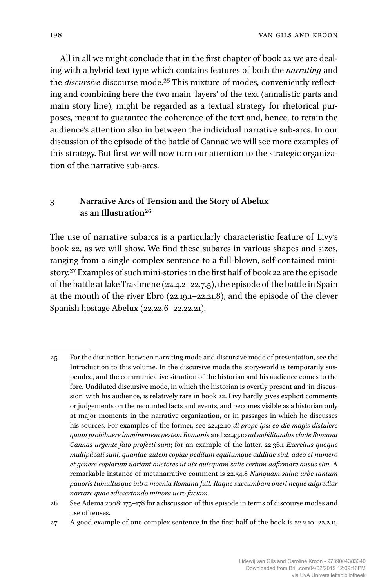All in all we might conclude that in the first chapter of book 22 we are dealing with a hybrid text type which contains features of both the *narrating* and the *discursive* discourse mode.<sup>25</sup> This mixture of modes, conveniently reflecting and combining here the two main 'layers' of the text (annalistic parts and main story line), might be regarded as a textual strategy for rhetorical purposes, meant to guarantee the coherence of the text and, hence, to retain the audience's attention also in between the individual narrative sub-arcs. In our discussion of the episode of the battle of Cannae we will see more examples of this strategy. But first we will now turn our attention to the strategic organization of the narrative sub-arcs.

## **3 Narrative Arcs of Tension and the Story of Abelux as an Illustration**26

The use of narrative subarcs is a particularly characteristic feature of Livy's book 22, as we will show. We find these subarcs in various shapes and sizes, ranging from a single complex sentence to a full-blown, self-contained ministory.27 Examples of such mini-stories in the first half of book 22 are the episode of the battle at lake Trasimene (22.4.2–22.7.5), the episode of the battle in Spain at the mouth of the river Ebro (22.19.1–22.21.8), and the episode of the clever Spanish hostage Abelux (22.22.6–22.22.21).

<sup>25</sup> For the distinction between narrating mode and discursive mode of presentation, see the Introduction to this volume. In the discursive mode the story-world is temporarily suspended, and the communicative situation of the historian and his audience comes to the fore. Undiluted discursive mode, in which the historian is overtly present and 'in discussion' with his audience, is relatively rare in book 22. Livy hardly gives explicit comments or judgements on the recounted facts and events, and becomes visible as a historian only at major moments in the narrative organization, or in passages in which he discusses his sources. For examples of the former, see 22.42.10 *di prope ipsi eo die magis distulere quam prohibuere imminentem pestem Romanis* and 22.43.10 *ad nobilitandas clade Romana Cannas urgente fato profecti sunt*; for an example of the latter, 22.36.1 *Exercitus quoque multiplicati sunt; quantae autem copiae peditum equitumque additae sint, adeo et numero et genere copiarum uariant auctores ut uix quicquam satis certum adfirmare ausus sim*. A remarkable instance of metanarrative comment is 22.54.8 *Nunquam salua urbe tantum pauoris tumultusque intra moenia Romana fuit. Itaque succumbam oneri neque adgrediar narrare quae edissertando minora uero faciam*.

<sup>26</sup> See Adema 2008: 175–178 for a discussion of this episode in terms of discourse modes and use of tenses.

<sup>27</sup> A good example of one complex sentence in the first half of the book is 22.2.10–22.2.11,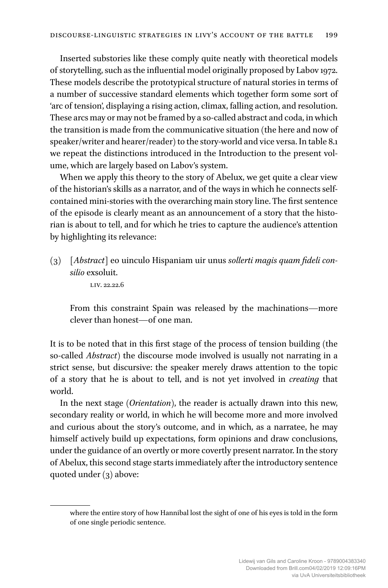Inserted substories like these comply quite neatly with theoretical models of storytelling, such as the influential model originally proposed by Labov 1972. These models describe the prototypical structure of natural stories in terms of a number of successive standard elements which together form some sort of 'arc of tension', displaying a rising action, climax, falling action, and resolution. These arcs may or may not be framed by a so-called abstract and coda, in which the transition is made from the communicative situation (the here and now of speaker/writer and hearer/reader) to the story-world and vice versa. In table 8.1 we repeat the distinctions introduced in the Introduction to the present volume, which are largely based on Labov's system.

When we apply this theory to the story of Abelux, we get quite a clear view of the historian's skills as a narrator, and of the ways in which he connects selfcontained mini-stories with the overarching main story line. The first sentence of the episode is clearly meant as an announcement of a story that the historian is about to tell, and for which he tries to capture the audience's attention by highlighting its relevance:

(3) [*Abstract*] eo uinculo Hispaniam uir unus *sollerti magis quam fideli consilio* exsoluit.

LIV. 22.22.6

From this constraint Spain was released by the machinations—more clever than honest—of one man.

It is to be noted that in this first stage of the process of tension building (the so-called *Abstract*) the discourse mode involved is usually not narrating in a strict sense, but discursive: the speaker merely draws attention to the topic of a story that he is about to tell, and is not yet involved in *creating* that world.

In the next stage (*Orientation*), the reader is actually drawn into this new, secondary reality or world, in which he will become more and more involved and curious about the story's outcome, and in which, as a narratee, he may himself actively build up expectations, form opinions and draw conclusions, under the guidance of an overtly or more covertly present narrator. In the story of Abelux, this second stage starts immediately after the introductory sentence quoted under (3) above:

where the entire story of how Hannibal lost the sight of one of his eyes is told in the form of one single periodic sentence.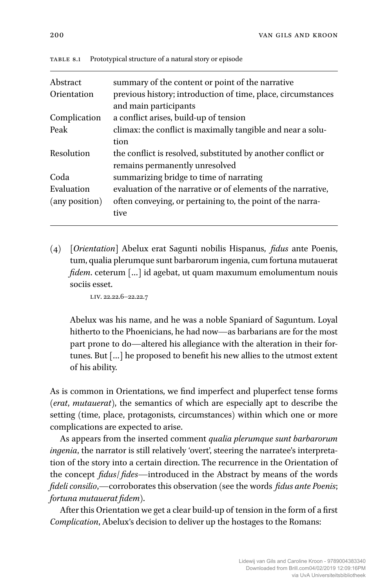| Abstract       | summary of the content or point of the narrative             |
|----------------|--------------------------------------------------------------|
| Orientation    | previous history; introduction of time, place, circumstances |
|                | and main participants                                        |
| Complication   | a conflict arises, build-up of tension                       |
| Peak           | climax: the conflict is maximally tangible and near a solu-  |
|                | tion                                                         |
| Resolution     | the conflict is resolved, substituted by another conflict or |
|                | remains permanently unresolved                               |
| Coda           | summarizing bridge to time of narrating                      |
| Evaluation     | evaluation of the narrative or of elements of the narrative, |
| (any position) | often conveying, or pertaining to, the point of the narra-   |
|                | tive                                                         |
|                |                                                              |

table 8.1 Prototypical structure of a natural story or episode

(4) [*Orientation*] Abelux erat Sagunti nobilis Hispanus, *fidus* ante Poenis, tum, qualia plerumque sunt barbarorum ingenia, cum fortuna mutauerat *fidem*. ceterum […] id agebat, ut quam maxumum emolumentum nouis sociis esset.

LIV. 22.22.6–22.22.7

Abelux was his name, and he was a noble Spaniard of Saguntum. Loyal hitherto to the Phoenicians, he had now—as barbarians are for the most part prone to do—altered his allegiance with the alteration in their fortunes. But […] he proposed to benefit his new allies to the utmost extent of his ability.

As is common in Orientations, we find imperfect and pluperfect tense forms (*erat*, *mutauerat*), the semantics of which are especially apt to describe the setting (time, place, protagonists, circumstances) within which one or more complications are expected to arise.

As appears from the inserted comment *qualia plerumque sunt barbarorum ingenia*, the narrator is still relatively 'overt', steering the narratee's interpretation of the story into a certain direction. The recurrence in the Orientation of the concept *fidus*/*fides*—introduced in the Abstract by means of the words *fideli consilio*,—corroborates this observation (see the words *fidus ante Poenis*; *fortuna mutauerat fidem*).

After this Orientation we get a clear build-up of tension in the form of a first *Complication*, Abelux's decision to deliver up the hostages to the Romans: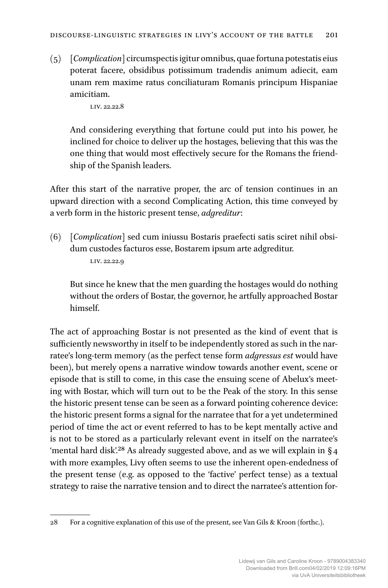(5) [*Complication*] circumspectis igitur omnibus, quae fortuna potestatis eius poterat facere, obsidibus potissimum tradendis animum adiecit, eam unam rem maxime ratus conciliaturam Romanis principum Hispaniae amicitiam.

LIV. 22.22.8

And considering everything that fortune could put into his power, he inclined for choice to deliver up the hostages, believing that this was the one thing that would most effectively secure for the Romans the friendship of the Spanish leaders.

After this start of the narrative proper, the arc of tension continues in an upward direction with a second Complicating Action, this time conveyed by a verb form in the historic present tense, *adgreditur*:

(6) [*Complication*] sed cum iniussu Bostaris praefecti satis sciret nihil obsidum custodes facturos esse, Bostarem ipsum arte adgreditur. LIV. 22.22.9

But since he knew that the men guarding the hostages would do nothing without the orders of Bostar, the governor, he artfully approached Bostar himself.

The act of approaching Bostar is not presented as the kind of event that is sufficiently newsworthy in itself to be independently stored as such in the narratee's long-term memory (as the perfect tense form *adgressus est* would have been), but merely opens a narrative window towards another event, scene or episode that is still to come, in this case the ensuing scene of Abelux's meeting with Bostar, which will turn out to be the Peak of the story. In this sense the historic present tense can be seen as a forward pointing coherence device: the historic present forms a signal for the narratee that for a yet undetermined period of time the act or event referred to has to be kept mentally active and is not to be stored as a particularly relevant event in itself on the narratee's 'mental hard disk'.<sup>28</sup> As already suggested above, and as we will explain in  $\S$ 4 with more examples, Livy often seems to use the inherent open-endedness of the present tense (e.g. as opposed to the 'factive' perfect tense) as a textual strategy to raise the narrative tension and to direct the narratee's attention for-

<sup>28</sup> For a cognitive explanation of this use of the present, see Van Gils & Kroon (forthc.).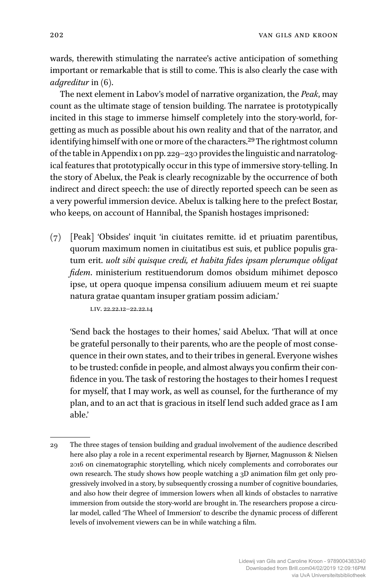wards, therewith stimulating the narratee's active anticipation of something important or remarkable that is still to come. This is also clearly the case with *adgreditur* in (6).

The next element in Labov's model of narrative organization, the *Peak*, may count as the ultimate stage of tension building. The narratee is prototypically incited in this stage to immerse himself completely into the story-world, forgetting as much as possible about his own reality and that of the narrator, and identifying himself with one or more of the characters.<sup>29</sup>The rightmost column of the table in Appendix1 on pp. 229–230 provides the linguistic and narratological features that prototypically occur in this type of immersive story-telling. In the story of Abelux, the Peak is clearly recognizable by the occurrence of both indirect and direct speech: the use of directly reported speech can be seen as a very powerful immersion device. Abelux is talking here to the prefect Bostar, who keeps, on account of Hannibal, the Spanish hostages imprisoned:

(7) [Peak] 'Obsides' inquit 'in ciuitates remitte. id et priuatim parentibus, quorum maximum nomen in ciuitatibus est suis, et publice populis gratum erit. *uolt sibi quisque credi, et habita fides ipsam plerumque obligat fidem*. ministerium restituendorum domos obsidum mihimet deposco ipse, ut opera quoque impensa consilium adiuuem meum et rei suapte natura gratae quantam insuper gratiam possim adiciam.'

LIV. 22.22.12–22.22.14

'Send back the hostages to their homes,' said Abelux. 'That will at once be grateful personally to their parents, who are the people of most consequence in their own states, and to their tribes in general. Everyone wishes to be trusted: confide in people, and almost always you confirm their confidence in you. The task of restoring the hostages to their homes I request for myself, that I may work, as well as counsel, for the furtherance of my plan, and to an act that is gracious in itself lend such added grace as I am able.'

<sup>29</sup> The three stages of tension building and gradual involvement of the audience described here also play a role in a recent experimental research by Bjørner, Magnusson & Nielsen 2016 on cinematographic storytelling, which nicely complements and corroborates our own research. The study shows how people watching a 3D animation film get only progressively involved in a story, by subsequently crossing a number of cognitive boundaries, and also how their degree of immersion lowers when all kinds of obstacles to narrative immersion from outside the story-world are brought in. The researchers propose a circular model, called 'The Wheel of Immersion' to describe the dynamic process of different levels of involvement viewers can be in while watching a film.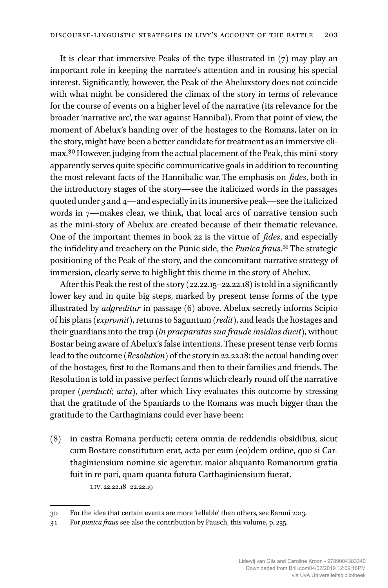It is clear that immersive Peaks of the type illustrated in  $(7)$  may play an important role in keeping the narratee's attention and in rousing his special interest. Significantly, however, the Peak of the Abeluxstory does not coincide with what might be considered the climax of the story in terms of relevance for the course of events on a higher level of the narrative (its relevance for the broader 'narrative arc', the war against Hannibal). From that point of view, the moment of Abelux's handing over of the hostages to the Romans, later on in the story, might have been a better candidate for treatment as an immersive climax.<sup>30</sup> However, judging from the actual placement of the Peak, this mini-story apparently serves quite specific communicative goals in addition to recounting the most relevant facts of the Hannibalic war. The emphasis on *fides*, both in the introductory stages of the story—see the italicized words in the passages quoted under 3 and 4—and especially in its immersive peak—see the italicized words in 7—makes clear, we think, that local arcs of narrative tension such as the mini-story of Abelux are created because of their thematic relevance. One of the important themes in book 22 is the virtue of *fides*, and especially the infidelity and treachery on the Punic side, the *Punica fraus*.31 The strategic positioning of the Peak of the story, and the concomitant narrative strategy of immersion, clearly serve to highlight this theme in the story of Abelux.

After this Peak the rest of the story (22.22.15–22.22.18) is told in a significantly lower key and in quite big steps, marked by present tense forms of the type illustrated by *adgreditur* in passage (6) above. Abelux secretly informs Scipio of his plans (*expromit*), returns to Saguntum (*redit*), and leads the hostages and their guardians into the trap (*in praeparatas sua fraude insidias ducit*), without Bostar being aware of Abelux's false intentions. These present tense verb forms lead to the outcome (*Resolution*) of the story in 22.22.18: the actual handing over of the hostages, first to the Romans and then to their families and friends. The Resolution is told in passive perfect forms which clearly round off the narrative proper (*perducti*; *acta*), after which Livy evaluates this outcome by stressing that the gratitude of the Spaniards to the Romans was much bigger than the gratitude to the Carthaginians could ever have been:

(8) in castra Romana perducti; cetera omnia de reddendis obsidibus, sicut cum Bostare constitutum erat, acta per eum ⟨eo⟩dem ordine, quo si Carthaginiensium nomine sic ageretur. maior aliquanto Romanorum gratia fuit in re pari, quam quanta futura Carthaginiensium fuerat.

LIV. 22.22.18–22.22.19

<sup>30</sup> For the idea that certain events are more 'tellable' than others, see Baroni 2013.

<sup>31</sup> For *punica fraus* see also the contribution by Pausch, this volume, p. 235.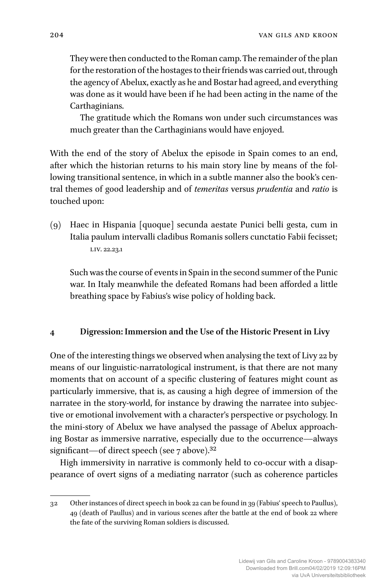They were then conducted to the Roman camp. The remainder of the plan for the restoration of the hostages to their friends was carried out, through the agency of Abelux, exactly as he and Bostar had agreed, and everything was done as it would have been if he had been acting in the name of the Carthaginians.

The gratitude which the Romans won under such circumstances was much greater than the Carthaginians would have enjoyed.

With the end of the story of Abelux the episode in Spain comes to an end, after which the historian returns to his main story line by means of the following transitional sentence, in which in a subtle manner also the book's central themes of good leadership and of *temeritas* versus *prudentia* and *ratio* is touched upon:

(9) Haec in Hispania [quoque] secunda aestate Punici belli gesta, cum in Italia paulum intervalli cladibus Romanis sollers cunctatio Fabii fecisset; LIV. 22.23.1

Such was the course of events in Spain in the second summer of the Punic war. In Italy meanwhile the defeated Romans had been afforded a little breathing space by Fabius's wise policy of holding back.

#### **4 Digression: Immersion and the Use of the Historic Present in Livy**

One of the interesting things we observed when analysing the text of Livy 22 by means of our linguistic-narratological instrument, is that there are not many moments that on account of a specific clustering of features might count as particularly immersive, that is, as causing a high degree of immersion of the narratee in the story-world, for instance by drawing the narratee into subjective or emotional involvement with a character's perspective or psychology. In the mini-story of Abelux we have analysed the passage of Abelux approaching Bostar as immersive narrative, especially due to the occurrence—always significant—of direct speech (see 7 above).32

High immersivity in narrative is commonly held to co-occur with a disappearance of overt signs of a mediating narrator (such as coherence particles

<sup>32</sup> Other instances of direct speech in book 22 can be found in 39 (Fabius' speech to Paullus), 49 (death of Paullus) and in various scenes after the battle at the end of book 22 where the fate of the surviving Roman soldiers is discussed.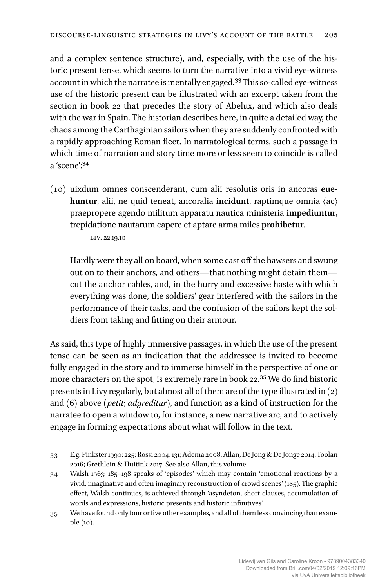and a complex sentence structure), and, especially, with the use of the historic present tense, which seems to turn the narrative into a vivid eye-witness account in which the narratee is mentally engaged.33This so-called eye-witness use of the historic present can be illustrated with an excerpt taken from the section in book 22 that precedes the story of Abelux, and which also deals with the war in Spain. The historian describes here, in quite a detailed way, the chaos among the Carthaginian sailors when they are suddenly confronted with a rapidly approaching Roman fleet. In narratological terms, such a passage in which time of narration and story time more or less seem to coincide is called a 'scene':34

(10) uixdum omnes conscenderant, cum alii resolutis oris in ancoras **euehuntur**, alii, ne quid teneat, ancoralia **incidunt**, raptimque omnia ⟨ac⟩ praepropere agendo militum apparatu nautica ministeria **impediuntur**, trepidatione nautarum capere et aptare arma miles **prohibetur**.

LIV. 22.19.10

Hardly were they all on board, when some cast off the hawsers and swung out on to their anchors, and others—that nothing might detain them cut the anchor cables, and, in the hurry and excessive haste with which everything was done, the soldiers' gear interfered with the sailors in the performance of their tasks, and the confusion of the sailors kept the soldiers from taking and fitting on their armour.

As said, this type of highly immersive passages, in which the use of the present tense can be seen as an indication that the addressee is invited to become fully engaged in the story and to immerse himself in the perspective of one or more characters on the spot, is extremely rare in book 22.35 We do find historic presents in Livy regularly, but almost all of them are of the type illustrated in (2) and (6) above (*petit*; *adgreditur*), and function as a kind of instruction for the narratee to open a window to, for instance, a new narrative arc, and to actively engage in forming expectations about what will follow in the text.

<sup>33</sup> E.g. Pinkster1990: 225; Rossi 2004: 131; Adema 2008; Allan, De Jong & De Jonge 2014; Toolan 2016; Grethlein & Huitink 2017. See also Allan, this volume.

<sup>34</sup> Walsh 1963: 185–198 speaks of 'episodes' which may contain 'emotional reactions by a vivid, imaginative and often imaginary reconstruction of crowd scenes' (185). The graphic effect, Walsh continues, is achieved through 'asyndeton, short clauses, accumulation of words and expressions, historic presents and historic infinitives'.

<sup>35</sup> We havefound onlyfour orfive other examples, and all of them less convincing than example (10).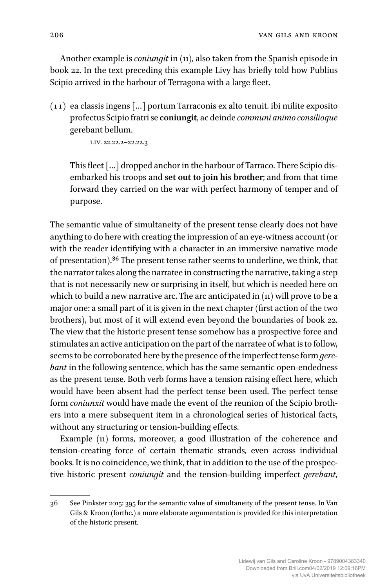Another example is*coniungit* in (11), also taken from the Spanish episode in book 22. In the text preceding this example Livy has briefly told how Publius Scipio arrived in the harbour of Terragona with a large fleet.

(11) ea classis ingens […] portum Tarraconis ex alto tenuit. ibi milite exposito profectus Scipio fratri se **coniungit**, ac deinde *communi animo consilioque* gerebant bellum.

LIV. 22.22.2–22.22.3

This fleet […] dropped anchor in the harbour of Tarraco. There Scipio disembarked his troops and **set out to join his brother**; and from that time forward they carried on the war with perfect harmony of temper and of purpose.

The semantic value of simultaneity of the present tense clearly does not have anything to do here with creating the impression of an eye-witness account (or with the reader identifying with a character in an immersive narrative mode of presentation).36 The present tense rather seems to underline, we think, that the narrator takes along the narratee in constructing the narrative, taking a step that is not necessarily new or surprising in itself, but which is needed here on which to build a new narrative arc. The arc anticipated in (11) will prove to be a major one: a small part of it is given in the next chapter (first action of the two brothers), but most of it will extend even beyond the boundaries of book 22. The view that the historic present tense somehow has a prospective force and stimulates an active anticipation on the part of the narratee of what is to follow, seems to be corroborated here by the presence of the imperfect tense form *gerebant* in the following sentence, which has the same semantic open-endedness as the present tense. Both verb forms have a tension raising effect here, which would have been absent had the perfect tense been used. The perfect tense form *coniunxit* would have made the event of the reunion of the Scipio brothers into a mere subsequent item in a chronological series of historical facts, without any structuring or tension-building effects.

Example (11) forms, moreover, a good illustration of the coherence and tension-creating force of certain thematic strands, even across individual books. It is no coincidence, we think, that in addition to the use of the prospective historic present *coniungit* and the tension-building imperfect *gerebant*,

<sup>36</sup> See Pinkster 2015: 395 for the semantic value of simultaneity of the present tense. In Van Gils & Kroon (forthc.) a more elaborate argumentation is provided for this interpretation of the historic present.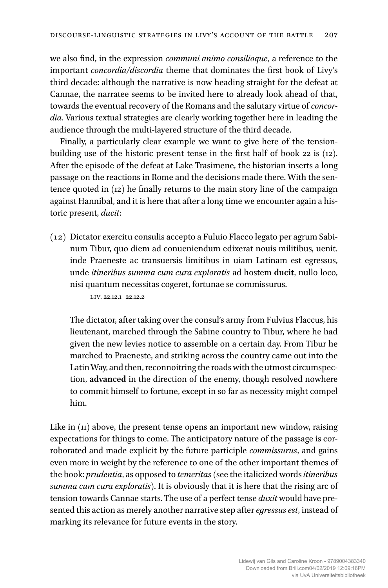we also find, in the expression *communi animo consilioque*, a reference to the important *concordia/discordia* theme that dominates the first book of Livy's third decade: although the narrative is now heading straight for the defeat at Cannae, the narratee seems to be invited here to already look ahead of that, towards the eventual recovery of the Romans and the salutary virtue of *concordia*. Various textual strategies are clearly working together here in leading the audience through the multi-layered structure of the third decade.

Finally, a particularly clear example we want to give here of the tensionbuilding use of the historic present tense in the first half of book 22 is (12). After the episode of the defeat at Lake Trasimene, the historian inserts a long passage on the reactions in Rome and the decisions made there. With the sentence quoted in (12) he finally returns to the main story line of the campaign against Hannibal, and it is here that after a long time we encounter again a historic present, *ducit*:

(12) Dictator exercitu consulis accepto a Fuluio Flacco legato per agrum Sabinum Tibur, quo diem ad conueniendum edixerat nouis militibus, uenit. inde Praeneste ac transuersis limitibus in uiam Latinam est egressus, unde *itineribus summa cum cura exploratis* ad hostem **ducit**, nullo loco, nisi quantum necessitas cogeret, fortunae se commissurus.

LIV. 22.12.1–22.12.2

The dictator, after taking over the consul's army from Fulvius Flaccus, his lieutenant, marched through the Sabine country to Tibur, where he had given the new levies notice to assemble on a certain day. From Tibur he marched to Praeneste, and striking across the country came out into the LatinWay, and then, reconnoitring the roads with the utmost circumspection, **advanced** in the direction of the enemy, though resolved nowhere to commit himself to fortune, except in so far as necessity might compel him.

Like in (11) above, the present tense opens an important new window, raising expectations for things to come. The anticipatory nature of the passage is corroborated and made explicit by the future participle *commissurus*, and gains even more in weight by the reference to one of the other important themes of the book: *prudentia*, as opposed to *temeritas*(see the italicized words*itineribus summa cum cura exploratis*). It is obviously that it is here that the rising arc of tension towards Cannae starts. The use of a perfect tense *duxit*would have presented this action as merely another narrative step after*egressus est*, instead of marking its relevance for future events in the story.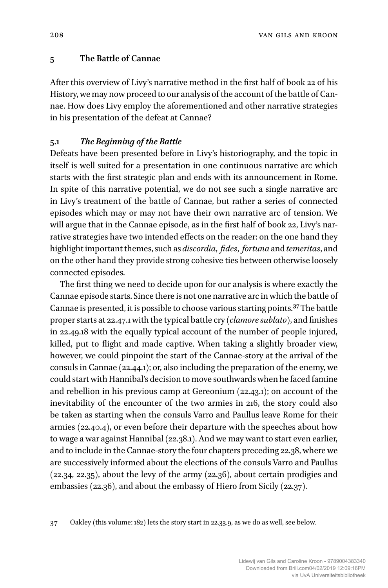### **5 The Battle of Cannae**

After this overview of Livy's narrative method in the first half of book 22 of his History, we may now proceed to our analysis of the account of the battle of Cannae. How does Livy employ the aforementioned and other narrative strategies in his presentation of the defeat at Cannae?

#### **5.1** *The Beginning of the Battle*

Defeats have been presented before in Livy's historiography, and the topic in itself is well suited for a presentation in one continuous narrative arc which starts with the first strategic plan and ends with its announcement in Rome. In spite of this narrative potential, we do not see such a single narrative arc in Livy's treatment of the battle of Cannae, but rather a series of connected episodes which may or may not have their own narrative arc of tension. We will argue that in the Cannae episode, as in the first half of book 22, Livy's narrative strategies have two intended effects on the reader: on the one hand they highlight important themes, such as *discordia*, *fides*, *fortuna* and *temeritas*, and on the other hand they provide strong cohesive ties between otherwise loosely connected episodes.

The first thing we need to decide upon for our analysis is where exactly the Cannae episode starts. Since there is not one narrative arc in which the battle of Cannae is presented, it is possible to choose various starting points.37The battle proper starts at 22.47.1 with the typical battle cry (*clamore sublato*), and finishes in 22.49.18 with the equally typical account of the number of people injured, killed, put to flight and made captive. When taking a slightly broader view, however, we could pinpoint the start of the Cannae-story at the arrival of the consuls in Cannae (22.44.1); or, also including the preparation of the enemy, we could start with Hannibal's decision to move southwards when he faced famine and rebellion in his previous camp at Gereonium (22.43.1); on account of the inevitability of the encounter of the two armies in 216, the story could also be taken as starting when the consuls Varro and Paullus leave Rome for their armies (22.40.4), or even before their departure with the speeches about how to wage a war against Hannibal (22.38.1). And we may want to start even earlier, and to include in the Cannae-story the four chapters preceding 22.38, where we are successively informed about the elections of the consuls Varro and Paullus (22.34, 22.35), about the levy of the army (22.36), about certain prodigies and embassies (22.36), and about the embassy of Hiero from Sicily (22.37).

<sup>37</sup> Oakley (this volume: 182) lets the story start in 22.33.9, as we do as well, see below.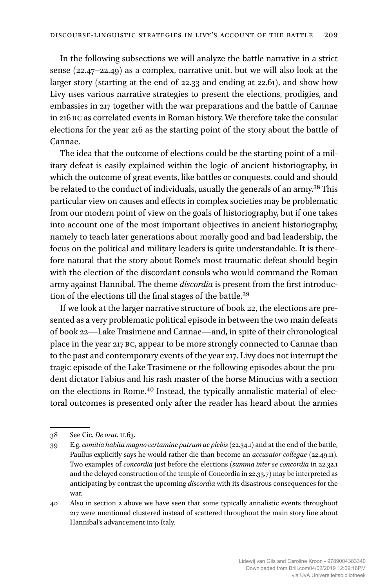In the following subsections we will analyze the battle narrative in a strict sense (22.47–22.49) as a complex, narrative unit, but we will also look at the larger story (starting at the end of 22.33 and ending at 22.61), and show how Livy uses various narrative strategies to present the elections, prodigies, and embassies in 217 together with the war preparations and the battle of Cannae in 216BC as correlated events in Roman history. We therefore take the consular elections for the year 216 as the starting point of the story about the battle of Cannae.

The idea that the outcome of elections could be the starting point of a military defeat is easily explained within the logic of ancient historiography, in which the outcome of great events, like battles or conquests, could and should be related to the conduct of individuals, usually the generals of an army.<sup>38</sup> This particular view on causes and effects in complex societies may be problematic from our modern point of view on the goals of historiography, but if one takes into account one of the most important objectives in ancient historiography, namely to teach later generations about morally good and bad leadership, the focus on the political and military leaders is quite understandable. It is therefore natural that the story about Rome's most traumatic defeat should begin with the election of the discordant consuls who would command the Roman army against Hannibal. The theme *discordia* is present from the first introduction of the elections till the final stages of the battle.39

If we look at the larger narrative structure of book 22, the elections are presented as a very problematic political episode in between the two main defeats of book 22—Lake Trasimene and Cannae—and, in spite of their chronological place in the year 217BC, appear to be more strongly connected to Cannae than to the past and contemporary events of the year 217. Livy does not interrupt the tragic episode of the Lake Trasimene or the following episodes about the prudent dictator Fabius and his rash master of the horse Minucius with a section on the elections in Rome.<sup>40</sup> Instead, the typically annalistic material of electoral outcomes is presented only after the reader has heard about the armies

<sup>38</sup> See Cic. *De orat*. II.63.

<sup>39</sup> E.g.*comitia habita magno certamine patrum ac plebis*(22.34.1) and at the end of the battle, Paullus explicitly says he would rather die than become an *accusator collegae* (22.49.11). Two examples of *concordia* just before the elections (*summa inter se concordia* in 22.32.1 and the delayed construction of the temple of Concordia in 22.33.7) may be interpreted as anticipating by contrast the upcoming *discordia* with its disastrous consequences for the war.

<sup>40</sup> Also in section 2 above we have seen that some typically annalistic events throughout 217 were mentioned clustered instead of scattered throughout the main story line about Hannibal's advancement into Italy.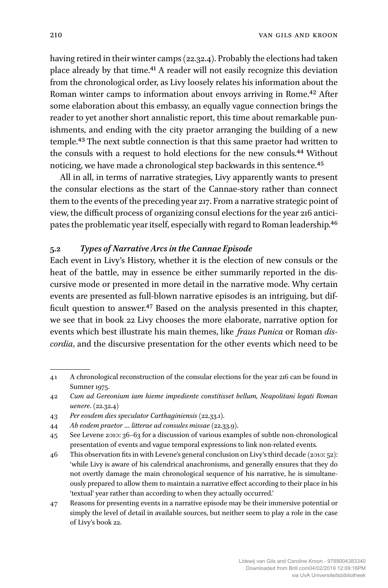having retired in their winter camps (22.32.4). Probably the elections had taken place already by that time.41 A reader will not easily recognize this deviation from the chronological order, as Livy loosely relates his information about the Roman winter camps to information about envoys arriving in Rome.42 After some elaboration about this embassy, an equally vague connection brings the reader to yet another short annalistic report, this time about remarkable punishments, and ending with the city praetor arranging the building of a new temple.43 The next subtle connection is that this same praetor had written to the consuls with a request to hold elections for the new consuls.44 Without noticing, we have made a chronological step backwards in this sentence.45

All in all, in terms of narrative strategies, Livy apparently wants to present the consular elections as the start of the Cannae-story rather than connect them to the events of the preceding year 217. From a narrative strategic point of view, the difficult process of organizing consul elections for the year 216 anticipates the problematic year itself, especially with regard to Roman leadership.46

#### **5.2** *Types of Narrative Arcs in the Cannae Episode*

Each event in Livy's History, whether it is the election of new consuls or the heat of the battle, may in essence be either summarily reported in the discursive mode or presented in more detail in the narrative mode. Why certain events are presented as full-blown narrative episodes is an intriguing, but difficult question to answer.47 Based on the analysis presented in this chapter, we see that in book 22 Livy chooses the more elaborate, narrative option for events which best illustrate his main themes, like *fraus Punica* or Roman *discordia*, and the discursive presentation for the other events which need to be

<sup>41</sup> A chronological reconstruction of the consular elections for the year 216 can be found in Sumner 1975.

<sup>42</sup> *Cum ad Gereonium iam hieme impediente constitisset bellum, Neapolitani legati Roman uenere*. (22.32.4)

<sup>43</sup> *Per eosdem dies speculator Carthaginiensis* (22.33.1).

<sup>44</sup> *Ab eodem praetor* … *litterae ad consules missae*(22.33.9).

<sup>45</sup> See Levene 2010: 36–63 for a discussion of various examples of subtle non-chronological presentation of events and vague temporal expressions to link non-related events.

<sup>46</sup> This observation fits in with Levene's general conclusion on Livy's third decade (2010: 52): 'while Livy is aware of his calendrical anachronisms, and generally ensures that they do not overtly damage the main chronological sequence of his narrative, he is simultaneously prepared to allow them to maintain a narrative effect according to their place in his 'textual' year rather than according to when they actually occurred.'

<sup>47</sup> Reasons for presenting events in a narrative episode may be their immersive potential or simply the level of detail in available sources, but neither seem to play a role in the case of Livy's book 22.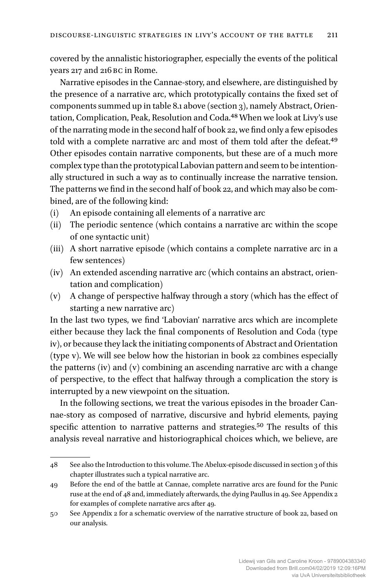covered by the annalistic historiographer, especially the events of the political years 217 and 216BC in Rome.

Narrative episodes in the Cannae-story, and elsewhere, are distinguished by the presence of a narrative arc, which prototypically contains the fixed set of components summed up in table 8.1 above (section 3), namely Abstract, Orientation, Complication, Peak, Resolution and Coda.48 When we look at Livy's use of the narrating mode in the second half of book 22, we find only a few episodes told with a complete narrative arc and most of them told after the defeat.<sup>49</sup> Other episodes contain narrative components, but these are of a much more complex type than the prototypical Labovian pattern and seem to be intentionally structured in such a way as to continually increase the narrative tension. The patterns we find in the second half of book 22, and which may also be combined, are of the following kind:

- (i) An episode containing all elements of a narrative arc
- (ii) The periodic sentence (which contains a narrative arc within the scope of one syntactic unit)
- (iii) A short narrative episode (which contains a complete narrative arc in a few sentences)
- (iv) An extended ascending narrative arc (which contains an abstract, orientation and complication)
- (v) A change of perspective halfway through a story (which has the effect of starting a new narrative arc)

In the last two types, we find 'Labovian' narrative arcs which are incomplete either because they lack the final components of Resolution and Coda (type iv), or because they lack the initiating components of Abstract and Orientation (type v). We will see below how the historian in book 22 combines especially the patterns (iv) and (v) combining an ascending narrative arc with a change of perspective, to the effect that halfway through a complication the story is interrupted by a new viewpoint on the situation.

In the following sections, we treat the various episodes in the broader Cannae-story as composed of narrative, discursive and hybrid elements, paying specific attention to narrative patterns and strategies.<sup>50</sup> The results of this analysis reveal narrative and historiographical choices which, we believe, are

<sup>48</sup> See also the Introduction to this volume. The Abelux-episode discussed in section 3 of this chapter illustrates such a typical narrative arc.

<sup>49</sup> Before the end of the battle at Cannae, complete narrative arcs are found for the Punic ruse at the end of 48 and, immediately afterwards, the dying Paullus in 49. See Appendix 2 for examples of complete narrative arcs after 49.

<sup>50</sup> See Appendix 2 for a schematic overview of the narrative structure of book 22, based on our analysis.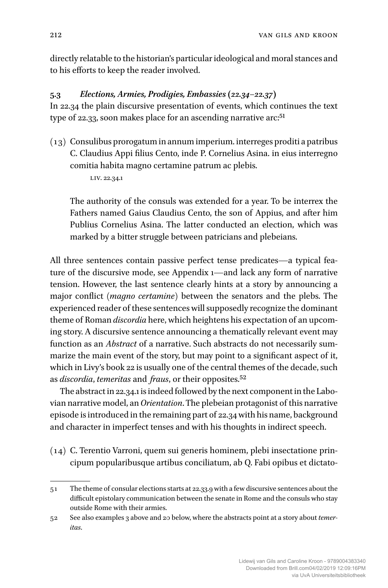directly relatable to the historian's particular ideological and moral stances and to his efforts to keep the reader involved.

**5.3** *Elections, Armies, Prodigies, Embassies (22.34–22.37)*

In 22.34 the plain discursive presentation of events, which continues the text type of 22.33, soon makes place for an ascending narrative arc:<sup>51</sup>

(13) Consulibus prorogatum in annum imperium. interreges proditi a patribus C. Claudius Appi filius Cento, inde P. Cornelius Asina. in eius interregno comitia habita magno certamine patrum ac plebis. LIV. 22.34.1

The authority of the consuls was extended for a year. To be interrex the Fathers named Gaius Claudius Cento, the son of Appius, and after him Publius Cornelius Asina. The latter conducted an election, which was marked by a bitter struggle between patricians and plebeians.

All three sentences contain passive perfect tense predicates—a typical feature of the discursive mode, see Appendix 1—and lack any form of narrative tension. However, the last sentence clearly hints at a story by announcing a major conflict (*magno certamine*) between the senators and the plebs. The experienced reader of these sentences will supposedly recognize the dominant theme of Roman *discordia* here, which heightens his expectation of an upcoming story. A discursive sentence announcing a thematically relevant event may function as an *Abstract* of a narrative. Such abstracts do not necessarily summarize the main event of the story, but may point to a significant aspect of it, which in Livy's book 22 is usually one of the central themes of the decade, such as *discordia*, *temeritas* and *fraus*, or their opposites.52

The abstract in 22.34.1 is indeed followed by the next component in the Labovian narrative model, an *Orientation*. The plebeian protagonist of this narrative episode is introduced in the remaining part of 22.34 with his name, background and character in imperfect tenses and with his thoughts in indirect speech.

(14) C. Terentio Varroni, quem sui generis hominem, plebi insectatione principum popularibusque artibus conciliatum, ab Q. Fabi opibus et dictato-

<sup>51</sup> The theme of consular elections starts at 22.33.9 with a few discursive sentences about the difficult epistolary communication between the senate in Rome and the consuls who stay outside Rome with their armies.

<sup>52</sup> See also examples 3 above and 20 below, where the abstracts point at a story about *temeritas*.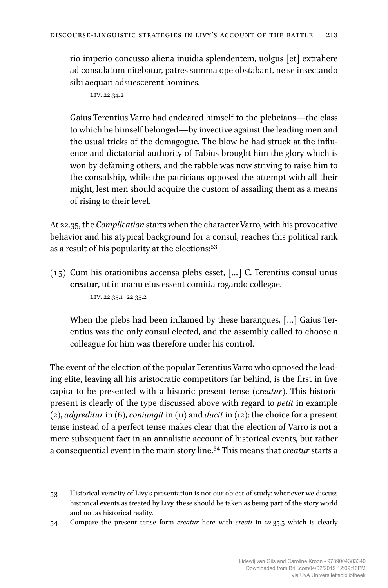rio imperio concusso aliena inuidia splendentem, uolgus [et] extrahere ad consulatum nitebatur, patres summa ope obstabant, ne se insectando sibi aequari adsuescerent homines.

```
LIV. 22.34.2
```
Gaius Terentius Varro had endeared himself to the plebeians—the class to which he himself belonged—by invective against the leading men and the usual tricks of the demagogue. The blow he had struck at the influence and dictatorial authority of Fabius brought him the glory which is won by defaming others, and the rabble was now striving to raise him to the consulship, while the patricians opposed the attempt with all their might, lest men should acquire the custom of assailing them as a means of rising to their level.

At 22.35, the *Complication* starts when the character Varro, with his provocative behavior and his atypical background for a consul, reaches this political rank as a result of his popularity at the elections:<sup>53</sup>

(15) Cum his orationibus accensa plebs esset, […] C. Terentius consul unus **creatur**, ut in manu eius essent comitia rogando collegae. LIV. 22.35.1–22.35.2

When the plebs had been inflamed by these harangues, […] Gaius Terentius was the only consul elected, and the assembly called to choose a colleague for him was therefore under his control.

The event of the election of the popular Terentius Varro who opposed the leading elite, leaving all his aristocratic competitors far behind, is the first in five capita to be presented with a historic present tense (*creatur*). This historic present is clearly of the type discussed above with regard to *petit* in example (2), *adgreditur* in (6),*coniungit* in (11) and *ducit* in (12): the choice for a present tense instead of a perfect tense makes clear that the election of Varro is not a mere subsequent fact in an annalistic account of historical events, but rather a consequential event in the main story line.54 This means that*creatur* starts a

<sup>53</sup> Historical veracity of Livy's presentation is not our object of study: whenever we discuss historical events as treated by Livy, these should be taken as being part of the story world and not as historical reality.

<sup>54</sup> Compare the present tense form *creatur* here with *creati* in 22.35.5 which is clearly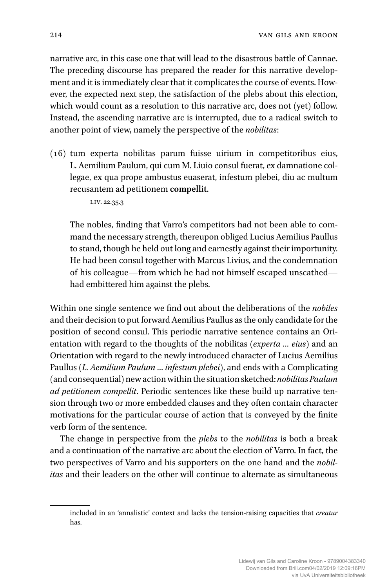narrative arc, in this case one that will lead to the disastrous battle of Cannae. The preceding discourse has prepared the reader for this narrative development and it is immediately clear that it complicates the course of events. However, the expected next step, the satisfaction of the plebs about this election, which would count as a resolution to this narrative arc, does not (yet) follow. Instead, the ascending narrative arc is interrupted, due to a radical switch to another point of view, namely the perspective of the *nobilitas*:

(16) tum experta nobilitas parum fuisse uirium in competitoribus eius, L. Aemilium Paulum, qui cum M. Liuio consul fuerat, ex damnatione collegae, ex qua prope ambustus euaserat, infestum plebei, diu ac multum recusantem ad petitionem **compellit**.

LIV. 22.35.3

The nobles, finding that Varro's competitors had not been able to command the necessary strength, thereupon obliged Lucius Aemilius Paullus to stand, though he held out long and earnestly against their importunity. He had been consul together with Marcus Livius, and the condemnation of his colleague—from which he had not himself escaped unscathed had embittered him against the plebs.

Within one single sentence we find out about the deliberations of the *nobiles* and their decision to put forward Aemilius Paullus as the only candidate for the position of second consul. This periodic narrative sentence contains an Orientation with regard to the thoughts of the nobilitas (*experta … eius*) and an Orientation with regard to the newly introduced character of Lucius Aemilius Paullus (*L. Aemilium Paulum … infestum plebei*), and ends with a Complicating (and consequential) new action within the situation sketched: *nobilitas Paulum ad petitionem compellit*. Periodic sentences like these build up narrative tension through two or more embedded clauses and they often contain character motivations for the particular course of action that is conveyed by the finite verb form of the sentence.

The change in perspective from the *plebs* to the *nobilitas* is both a break and a continuation of the narrative arc about the election of Varro. In fact, the two perspectives of Varro and his supporters on the one hand and the *nobilitas* and their leaders on the other will continue to alternate as simultaneous

included in an 'annalistic' context and lacks the tension-raising capacities that *creatur* has.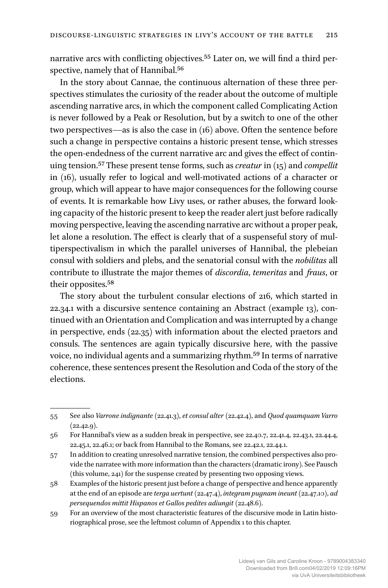narrative arcs with conflicting objectives.55 Later on, we will find a third perspective, namely that of Hannibal.56

In the story about Cannae, the continuous alternation of these three perspectives stimulates the curiosity of the reader about the outcome of multiple ascending narrative arcs, in which the component called Complicating Action is never followed by a Peak or Resolution, but by a switch to one of the other two perspectives—as is also the case in (16) above. Often the sentence before such a change in perspective contains a historic present tense, which stresses the open-endedness of the current narrative arc and gives the effect of continuing tension.57 These present tense forms, such as*creatur* in (15) and *compellit* in (16), usually refer to logical and well-motivated actions of a character or group, which will appear to have major consequences for the following course of events. It is remarkable how Livy uses, or rather abuses, the forward looking capacity of the historic present to keep the reader alert just before radically moving perspective, leaving the ascending narrative arc without a proper peak, let alone a resolution. The effect is clearly that of a suspenseful story of multiperspectivalism in which the parallel universes of Hannibal, the plebeian consul with soldiers and plebs, and the senatorial consul with the *nobilitas* all contribute to illustrate the major themes of *discordia*, *temeritas* and *fraus*, or their opposites.58

The story about the turbulent consular elections of 216, which started in 22.34.1 with a discursive sentence containing an Abstract (example 13), continued with an Orientation and Complication and was interrupted by a change in perspective, ends (22.35) with information about the elected praetors and consuls. The sentences are again typically discursive here, with the passive voice, no individual agents and a summarizing rhythm.59 In terms of narrative coherence, these sentences present the Resolution and Coda of the story of the elections.

<sup>55</sup> See also *Varrone indignante* (22.41.3), *et consul alter* (22.42.4), and *Quod quamquam Varro*  $(22.42.9)$ .

<sup>56</sup> For Hannibal's view as a sudden break in perspective, see 22.40.7, 22.41.4, 22.43.1, 22.44.4, 22.45.1, 22.46.1; or back from Hannibal to the Romans, see 22.42.1, 22.44.1.

<sup>57</sup> In addition to creating unresolved narrative tension, the combined perspectives also provide the narratee with more information than the characters (dramatic irony). See Pausch (this volume, 241) for the suspense created by presenting two opposing views.

<sup>58</sup> Examples of the historic present just before a change of perspective and hence apparently at the end of an episode are *terga uertunt* (22.47.4), *integram pugnam ineunt* (22.47.10), *ad persequendos mittit Hispanos et Gallos pedites adiungit* (22.48.6).

<sup>59</sup> For an overview of the most characteristic features of the discursive mode in Latin historiographical prose, see the leftmost column of Appendix 1 to this chapter.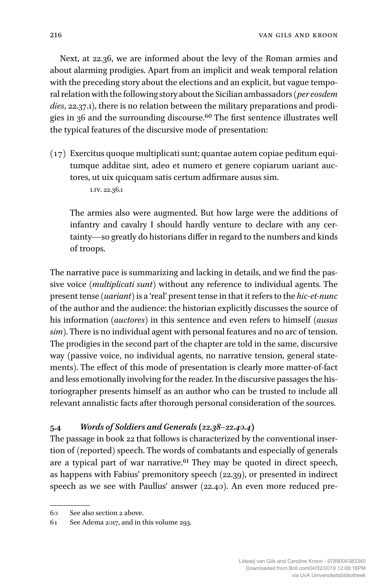Next, at 22.36, we are informed about the levy of the Roman armies and about alarming prodigies. Apart from an implicit and weak temporal relation with the preceding story about the elections and an explicit, but vague temporal relation with the following story about the Sicilian ambassadors (*per eosdem dies*, 22.37.1), there is no relation between the military preparations and prodigies in 36 and the surrounding discourse.60 The first sentence illustrates well the typical features of the discursive mode of presentation:

(17) Exercitus quoque multiplicati sunt; quantae autem copiae peditum equitumque additae sint, adeo et numero et genere copiarum uariant auctores, ut uix quicquam satis certum adfirmare ausus sim. LIV. 22.36.1

The armies also were augmented. But how large were the additions of infantry and cavalry I should hardly venture to declare with any certainty—so greatly do historians differ in regard to the numbers and kinds of troops.

The narrative pace is summarizing and lacking in details, and we find the passive voice (*multiplicati sunt*) without any reference to individual agents. The present tense (*uariant*) is a 'real' present tense in that it refers to the *hic-et-nunc* of the author and the audience: the historian explicitly discusses the source of his information (*auctores*) in this sentence and even refers to himself (*ausus sim*). There is no individual agent with personal features and no arc of tension. The prodigies in the second part of the chapter are told in the same, discursive way (passive voice, no individual agents, no narrative tension, general statements). The effect of this mode of presentation is clearly more matter-of-fact and less emotionally involving for the reader. In the discursive passages the historiographer presents himself as an author who can be trusted to include all relevant annalistic facts after thorough personal consideration of the sources.

## **5.4** *Words of Soldiers and Generals (22.38–22.40.4)*

The passage in book 22 that follows is characterized by the conventional insertion of (reported) speech. The words of combatants and especially of generals are a typical part of war narrative.<sup>61</sup> They may be quoted in direct speech, as happens with Fabius' premonitory speech (22.39), or presented in indirect speech as we see with Paullus' answer (22.40). An even more reduced pre-

<sup>60</sup> See also section 2 above.

<sup>61</sup> See Adema 2017, and in this volume 293.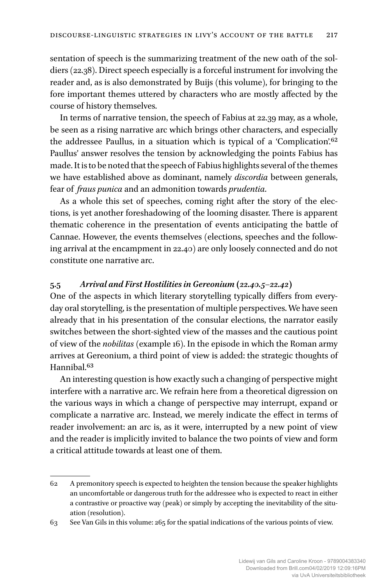sentation of speech is the summarizing treatment of the new oath of the soldiers (22.38). Direct speech especially is a forceful instrument for involving the reader and, as is also demonstrated by Buijs (this volume), for bringing to the fore important themes uttered by characters who are mostly affected by the course of history themselves.

In terms of narrative tension, the speech of Fabius at 22.39 may, as a whole, be seen as a rising narrative arc which brings other characters, and especially the addressee Paullus, in a situation which is typical of a 'Complication'.62 Paullus' answer resolves the tension by acknowledging the points Fabius has made.It is to be noted that the speech of Fabius highlights several of the themes we have established above as dominant, namely *discordia* between generals, fear of *fraus punica* and an admonition towards *prudentia*.

As a whole this set of speeches, coming right after the story of the elections, is yet another foreshadowing of the looming disaster. There is apparent thematic coherence in the presentation of events anticipating the battle of Cannae. However, the events themselves (elections, speeches and the following arrival at the encampment in 22.40) are only loosely connected and do not constitute one narrative arc.

### **5.5** *Arrival and First Hostilities in Gereonium (22.40.5–22.42)*

One of the aspects in which literary storytelling typically differs from everyday oral storytelling, is the presentation of multiple perspectives. We have seen already that in his presentation of the consular elections, the narrator easily switches between the short-sighted view of the masses and the cautious point of view of the *nobilitas* (example 16). In the episode in which the Roman army arrives at Gereonium, a third point of view is added: the strategic thoughts of Hannibal.63

An interesting question is how exactly such a changing of perspective might interfere with a narrative arc. We refrain here from a theoretical digression on the various ways in which a change of perspective may interrupt, expand or complicate a narrative arc. Instead, we merely indicate the effect in terms of reader involvement: an arc is, as it were, interrupted by a new point of view and the reader is implicitly invited to balance the two points of view and form a critical attitude towards at least one of them.

<sup>62</sup> A premonitory speech is expected to heighten the tension because the speaker highlights an uncomfortable or dangerous truth for the addressee who is expected to react in either a contrastive or proactive way (peak) or simply by accepting the inevitability of the situation (resolution).

<sup>63</sup> See Van Gils in this volume: 265 for the spatial indications of the various points of view.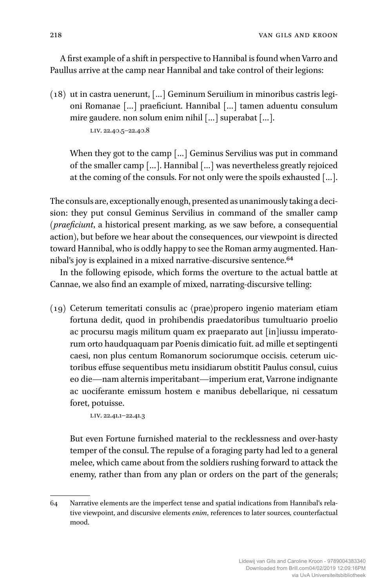A first example of a shift in perspective to Hannibal is found when Varro and Paullus arrive at the camp near Hannibal and take control of their legions:

(18) ut in castra uenerunt, […] Geminum Seruilium in minoribus castris legioni Romanae […] praeficiunt. Hannibal […] tamen aduentu consulum mire gaudere. non solum enim nihil […] superabat […]. LIV. 22.40.5–22.40.8

When they got to the camp [...] Geminus Servilius was put in command of the smaller camp […]. Hannibal […] was nevertheless greatly rejoiced at the coming of the consuls. For not only were the spoils exhausted […].

The consuls are, exceptionally enough, presented as unanimously taking a decision: they put consul Geminus Servilius in command of the smaller camp (*praeficiunt*, a historical present marking, as we saw before, a consequential action), but before we hear about the consequences, our viewpoint is directed toward Hannibal, who is oddly happy to see the Roman army augmented. Hannibal's joy is explained in a mixed narrative-discursive sentence.64

In the following episode, which forms the overture to the actual battle at Cannae, we also find an example of mixed, narrating-discursive telling:

(19) Ceterum temeritati consulis ac ⟨prae⟩propero ingenio materiam etiam fortuna dedit, quod in prohibendis praedatoribus tumultuario proelio ac procursu magis militum quam ex praeparato aut [in]iussu imperatorum orto haudquaquam par Poenis dimicatio fuit. ad mille et septingenti caesi, non plus centum Romanorum sociorumque occisis. ceterum uictoribus effuse sequentibus metu insidiarum obstitit Paulus consul, cuius eo die—nam alternis imperitabant—imperium erat, Varrone indignante ac uociferante emissum hostem e manibus debellarique, ni cessatum foret, potuisse.

LIV. 22.41.1–22.41.3

But even Fortune furnished material to the recklessness and over-hasty temper of the consul. The repulse of a foraging party had led to a general melee, which came about from the soldiers rushing forward to attack the enemy, rather than from any plan or orders on the part of the generals;

<sup>64</sup> Narrative elements are the imperfect tense and spatial indications from Hannibal's relative viewpoint, and discursive elements *enim*, references to later sources, counterfactual mood.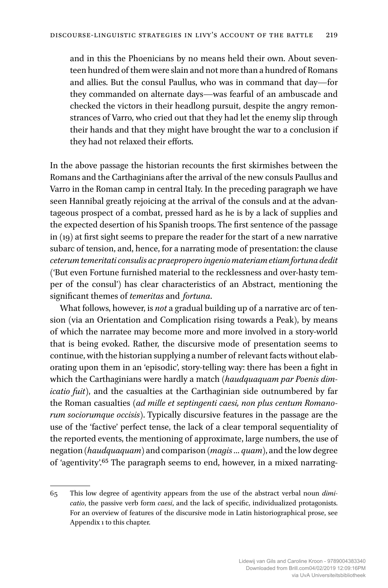and in this the Phoenicians by no means held their own. About seventeen hundred of them were slain and not more than a hundred of Romans and allies. But the consul Paullus, who was in command that day—for they commanded on alternate days—was fearful of an ambuscade and checked the victors in their headlong pursuit, despite the angry remonstrances of Varro, who cried out that they had let the enemy slip through their hands and that they might have brought the war to a conclusion if they had not relaxed their efforts.

In the above passage the historian recounts the first skirmishes between the Romans and the Carthaginians after the arrival of the new consuls Paullus and Varro in the Roman camp in central Italy. In the preceding paragraph we have seen Hannibal greatly rejoicing at the arrival of the consuls and at the advantageous prospect of a combat, pressed hard as he is by a lack of supplies and the expected desertion of his Spanish troops. The first sentence of the passage in (19) at first sight seems to prepare the reader for the start of a new narrative subarc of tension, and, hence, for a narrating mode of presentation: the clause *ceterumtemeritati consulis ac praepropero ingenio materiam etiam fortuna dedit* ('But even Fortune furnished material to the recklessness and over-hasty temper of the consul') has clear characteristics of an Abstract, mentioning the significant themes of *temeritas* and *fortuna*.

What follows, however, is *not* a gradual building up of a narrative arc of tension (via an Orientation and Complication rising towards a Peak), by means of which the narratee may become more and more involved in a story-world that is being evoked. Rather, the discursive mode of presentation seems to continue, with the historian supplying a number of relevant facts without elaborating upon them in an 'episodic', story-telling way: there has been a fight in which the Carthaginians were hardly a match (*haudquaquam par Poenis dimicatio fuit*), and the casualties at the Carthaginian side outnumbered by far the Roman casualties (*ad mille et septingenti caesi, non plus centum Romanorum sociorumque occisis*). Typically discursive features in the passage are the use of the 'factive' perfect tense, the lack of a clear temporal sequentiality of the reported events, the mentioning of approximate, large numbers, the use of negation (*haudquaquam*) and comparison (*magis… quam*), and the low degree of 'agentivity'.65 The paragraph seems to end, however, in a mixed narrating-

<sup>65</sup> This low degree of agentivity appears from the use of the abstract verbal noun *dimicatio*, the passive verb form *caesi*, and the lack of specific, individualized protagonists. For an overview of features of the discursive mode in Latin historiographical prose, see Appendix 1 to this chapter.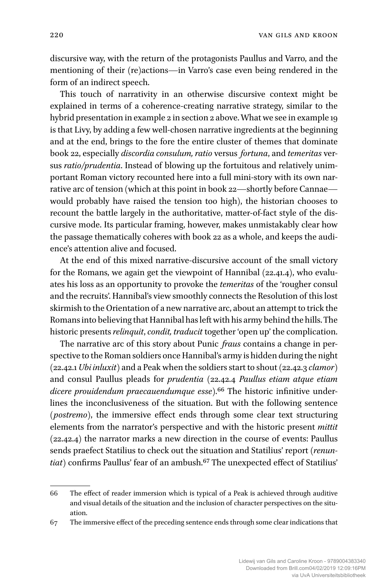discursive way, with the return of the protagonists Paullus and Varro, and the mentioning of their (re)actions—in Varro's case even being rendered in the form of an indirect speech.

This touch of narrativity in an otherwise discursive context might be explained in terms of a coherence-creating narrative strategy, similar to the hybrid presentation in example 2 in section 2 above.What we see in example 19 is that Livy, by adding a few well-chosen narrative ingredients at the beginning and at the end, brings to the fore the entire cluster of themes that dominate book 22, especially *discordia consulum, ratio* versus *fortuna*, and *temeritas* versus *ratio/prudentia*. Instead of blowing up the fortuitous and relatively unimportant Roman victory recounted here into a full mini-story with its own narrative arc of tension (which at this point in book 22—shortly before Cannae would probably have raised the tension too high), the historian chooses to recount the battle largely in the authoritative, matter-of-fact style of the discursive mode. Its particular framing, however, makes unmistakably clear how the passage thematically coheres with book 22 as a whole, and keeps the audience's attention alive and focused.

At the end of this mixed narrative-discursive account of the small victory for the Romans, we again get the viewpoint of Hannibal (22.41.4), who evaluates his loss as an opportunity to provoke the *temeritas* of the 'rougher consul and the recruits'. Hannibal's view smoothly connects the Resolution of this lost skirmish to the Orientation of a new narrative arc, about an attempt to trick the Romans into believing that Hannibal has left with his army behind the hills. The historic presents*relinquit*,*condit, traducit* together 'open up' the complication.

The narrative arc of this story about Punic *fraus* contains a change in perspective to the Roman soldiers once Hannibal's army is hidden during the night (22.42.1 *Ubi inluxit*) and a Peak when the soldiers start to shout (22.42.3 *clamor*) and consul Paullus pleads for *prudentia* (22.42.4 *Paullus etiam atque etiam dicere prouidendum praecauendumque esse*).66 The historic infinitive underlines the inconclusiveness of the situation. But with the following sentence (*postremo*), the immersive effect ends through some clear text structuring elements from the narrator's perspective and with the historic present *mittit* (22.42.4) the narrator marks a new direction in the course of events: Paullus sends praefect Statilius to check out the situation and Statilius' report (*renun*tiat) confirms Paullus' fear of an ambush.<sup>67</sup> The unexpected effect of Statilius'

<sup>66</sup> The effect of reader immersion which is typical of a Peak is achieved through auditive and visual details of the situation and the inclusion of character perspectives on the situation.

<sup>67</sup> The immersive effect of the preceding sentence ends through some clear indications that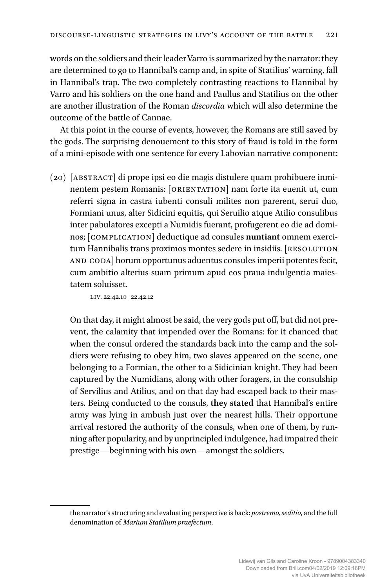words on the soldiers and their leader Varro is summarized by the narrator: they are determined to go to Hannibal's camp and, in spite of Statilius' warning, fall in Hannibal's trap. The two completely contrasting reactions to Hannibal by Varro and his soldiers on the one hand and Paullus and Statilius on the other are another illustration of the Roman *discordia* which will also determine the outcome of the battle of Cannae.

At this point in the course of events, however, the Romans are still saved by the gods. The surprising denouement to this story of fraud is told in the form of a mini-episode with one sentence for every Labovian narrative component:

(20) [ABSTRACT] di prope ipsi eo die magis distulere quam prohibuere inminentem pestem Romanis: [ORIENTATION] nam forte ita euenit ut, cum referri signa in castra iubenti consuli milites non parerent, serui duo, Formiani unus, alter Sidicini equitis, qui Seruilio atque Atilio consulibus inter pabulatores excepti a Numidis fuerant, profugerent eo die ad dominos; [COMPLICATION] deductique ad consules **nuntiant** omnem exercitum Hannibalis trans proximos montes sedere in insidiis. [RESOLUTION AND CODA] horum opportunus aduentus consules imperii potentes fecit, cum ambitio alterius suam primum apud eos praua indulgentia maiestatem soluisset.

LIV. 22.42.10–22.42.12

On that day, it might almost be said, the very gods put off, but did not prevent, the calamity that impended over the Romans: for it chanced that when the consul ordered the standards back into the camp and the soldiers were refusing to obey him, two slaves appeared on the scene, one belonging to a Formian, the other to a Sidicinian knight. They had been captured by the Numidians, along with other foragers, in the consulship of Servilius and Atilius, and on that day had escaped back to their masters. Being conducted to the consuls, **they stated** that Hannibal's entire army was lying in ambush just over the nearest hills. Their opportune arrival restored the authority of the consuls, when one of them, by running after popularity, and by unprincipled indulgence, had impaired their prestige—beginning with his own—amongst the soldiers.

the narrator's structuring and evaluating perspective is back: *postremo, seditio*, and the full denomination of *Marium Statilium praefectum*.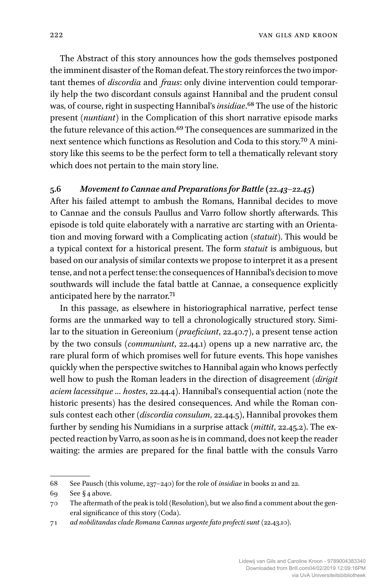The Abstract of this story announces how the gods themselves postponed the imminent disaster of the Roman defeat. The story reinforces the two important themes of *discordia* and *fraus*: only divine intervention could temporarily help the two discordant consuls against Hannibal and the prudent consul was, of course, right in suspecting Hannibal's *insidiae*.68 The use of the historic present (*nuntiant*) in the Complication of this short narrative episode marks the future relevance of this action.69 The consequences are summarized in the next sentence which functions as Resolution and Coda to this story.70 A ministory like this seems to be the perfect form to tell a thematically relevant story which does not pertain to the main story line.

#### **5.6** *Movement to Cannae and Preparations for Battle (22.43–22.45)*

After his failed attempt to ambush the Romans, Hannibal decides to move to Cannae and the consuls Paullus and Varro follow shortly afterwards. This episode is told quite elaborately with a narrative arc starting with an Orientation and moving forward with a Complicating action (*statuit*). This would be a typical context for a historical present. The form *statuit* is ambiguous, but based on our analysis of similar contexts we propose to interpret it as a present tense, and not a perfect tense: the consequences of Hannibal's decision to move southwards will include the fatal battle at Cannae, a consequence explicitly anticipated here by the narrator.71

In this passage, as elsewhere in historiographical narrative, perfect tense forms are the unmarked way to tell a chronologically structured story. Similar to the situation in Gereonium (*praeficiunt*, 22.40.7), a present tense action by the two consuls (*communiunt*, 22.44.1) opens up a new narrative arc, the rare plural form of which promises well for future events. This hope vanishes quickly when the perspective switches to Hannibal again who knows perfectly well how to push the Roman leaders in the direction of disagreement (*dirigit aciem lacessitque … hostes*, 22.44.4). Hannibal's consequential action (note the historic presents) has the desired consequences. And while the Roman consuls contest each other (*discordia consulum*, 22.44.5), Hannibal provokes them further by sending his Numidians in a surprise attack (*mittit*, 22.45.2). The expected reaction by Varro, as soon as he is in command, does not keep the reader waiting: the armies are prepared for the final battle with the consuls Varro

<sup>68</sup> See Pausch (this volume, 237–240) for the role of *insidiae*in books 21 and 22.

<sup>69</sup> See §4 above.

<sup>70</sup> The aftermath of the peak is told (Resolution), but we also find a comment about the general significance of this story (Coda).

<sup>71</sup> *ad nobilitandas clade Romana Cannas urgente fato profecti sunt* (22.43.10).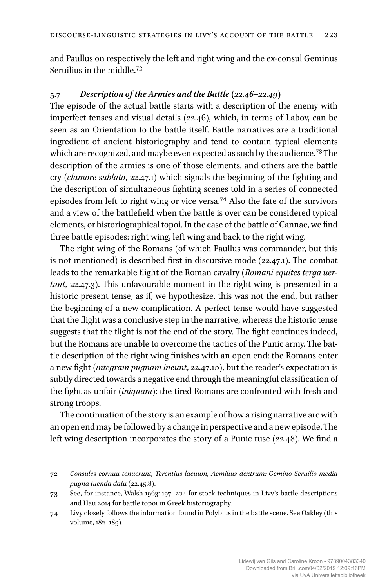and Paullus on respectively the left and right wing and the ex-consul Geminus Seruilius in the middle.72

## **5.7** *Description of the Armies and the Battle (22.46–22.49)*

The episode of the actual battle starts with a description of the enemy with imperfect tenses and visual details (22.46), which, in terms of Labov, can be seen as an Orientation to the battle itself. Battle narratives are a traditional ingredient of ancient historiography and tend to contain typical elements which are recognized, and maybe even expected as such by the audience.<sup>73</sup> The description of the armies is one of those elements, and others are the battle cry (*clamore sublato*, 22.47.1) which signals the beginning of the fighting and the description of simultaneous fighting scenes told in a series of connected episodes from left to right wing or vice versa.74 Also the fate of the survivors and a view of the battlefield when the battle is over can be considered typical elements, or historiographical topoi. In the case of the battle of Cannae, we find three battle episodes: right wing, left wing and back to the right wing.

The right wing of the Romans (of which Paullus was commander, but this is not mentioned) is described first in discursive mode (22.47.1). The combat leads to the remarkable flight of the Roman cavalry (*Romani equites terga uertunt*, 22.47.3). This unfavourable moment in the right wing is presented in a historic present tense, as if, we hypothesize, this was not the end, but rather the beginning of a new complication. A perfect tense would have suggested that the flight was a conclusive step in the narrative, whereas the historic tense suggests that the flight is not the end of the story. The fight continues indeed, but the Romans are unable to overcome the tactics of the Punic army. The battle description of the right wing finishes with an open end: the Romans enter a new fight (*integram pugnam ineunt*, 22.47.10), but the reader's expectation is subtly directed towards a negative end through the meaningful classification of the fight as unfair (*iniquam*): the tired Romans are confronted with fresh and strong troops.

The continuation of the story is an example of how a rising narrative arc with an open end may be followed by a change in perspective and a new episode. The left wing description incorporates the story of a Punic ruse (22.48). We find a

<sup>72</sup> *Consules cornua tenuerunt, Terentius laeuum, Aemilius dextrum: Gemino Seruilio media pugna tuenda data* (22.45.8).

<sup>73</sup> See, for instance, Walsh 1963: 197–204 for stock techniques in Livy's battle descriptions and Hau 2014 for battle topoi in Greek historiography.

<sup>74</sup> Livy closely follows the information found in Polybius in the battle scene. See Oakley (this volume, 182–189).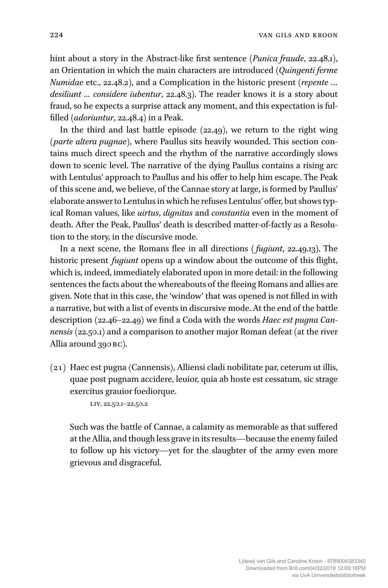hint about a story in the Abstract-like first sentence (*Punica fraude*, 22.48.1), an Orientation in which the main characters are introduced (*Quingenti ferme Numidae* etc., 22.48.2), and a Complication in the historic present (*repente* … *desiliunt … considere iubentur*, 22.48.3). The reader knows it is a story about fraud, so he expects a surprise attack any moment, and this expectation is fulfilled (*adoriuntur*, 22.48.4) in a Peak.

In the third and last battle episode (22.49), we return to the right wing (*parte altera pugnae*), where Paullus sits heavily wounded. This section contains much direct speech and the rhythm of the narrative accordingly slows down to scenic level. The narrative of the dying Paullus contains a rising arc with Lentulus' approach to Paullus and his offer to help him escape. The Peak of this scene and, we believe, of the Cannae story at large, is formed by Paullus' elaborate answer to Lentulus in which he refuses Lentulus' offer, but shows typical Roman values, like *uirtus*, *dignitas* and *constantia* even in the moment of death. After the Peak, Paullus' death is described matter-of-factly as a Resolution to the story, in the discursive mode.

In a next scene, the Romans flee in all directions ( *fugiunt*, 22.49.13). The historic present *fugiunt* opens up a window about the outcome of this flight, which is, indeed, immediately elaborated upon in more detail: in the following sentences the facts about the whereabouts of the fleeing Romans and allies are given. Note that in this case, the 'window' that was opened is not filled in with a narrative, but with a list of events in discursive mode. At the end of the battle description (22.46–22.49) we find a Coda with the words *Haec est pugna Cannensis* (22.50.1) and a comparison to another major Roman defeat (at the river Allia around 390BC).

(21) Haec est pugna ⟨Cannensis⟩, Alliensi cladi nobilitate par, ceterum ut illis, quae post pugnam accidere, leuior, quia ab hoste est cessatum, sic strage exercitus grauior foediorque.

LIV. 22.50.1–22.50.2

Such was the battle of Cannae, a calamity as memorable as that suffered at the Allia, and though less grave in its results—because the enemy failed to follow up his victory—yet for the slaughter of the army even more grievous and disgraceful.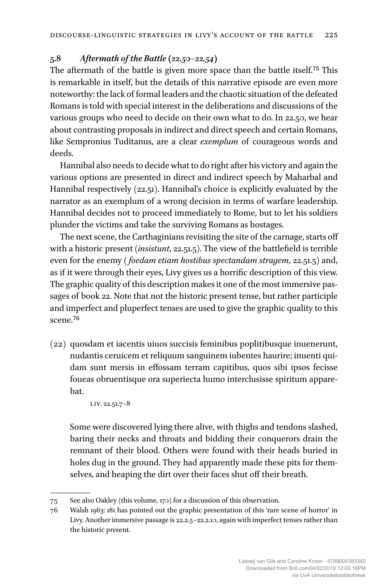## **5.8** *Aftermath of the Battle (22.50–22.54)*

The aftermath of the battle is given more space than the battle itself.75 This is remarkable in itself, but the details of this narrative episode are even more noteworthy: the lack of formal leaders and the chaotic situation of the defeated Romans is told with special interest in the deliberations and discussions of the various groups who need to decide on their own what to do. In 22.50, we hear about contrasting proposals in indirect and direct speech and certain Romans, like Sempronius Tuditanus, are a clear *exemplum* of courageous words and deeds.

Hannibal also needs to decide what to do right after his victory and again the various options are presented in direct and indirect speech by Maharbal and Hannibal respectively (22.51). Hannibal's choice is explicitly evaluated by the narrator as an exemplum of a wrong decision in terms of warfare leadership. Hannibal decides not to proceed immediately to Rome, but to let his soldiers plunder the victims and take the surviving Romans as hostages.

The next scene, the Carthaginians revisiting the site of the carnage, starts off with a historic present (*insistunt*, 22.51.5). The view of the battlefield is terrible even for the enemy ( *foedam etiam hostibus spectandam stragem*, 22.51.5) and, as if it were through their eyes, Livy gives us a horrific description of this view. The graphic quality of this description makes it one of the most immersive passages of book 22. Note that not the historic present tense, but rather participle and imperfect and pluperfect tenses are used to give the graphic quality to this scene.76

(22) quosdam et iacentis uiuos succisis feminibus poplitibusque inuenerunt, nudantis ceruicem et reliquum sanguinem iubentes haurire; inuenti quidam sunt mersis in effossam terram capitibus, quos sibi ipsos fecisse foueas obruentisque ora superiecta humo interclusisse spiritum apparebat.

LIV. 22.51.7–8

Some were discovered lying there alive, with thighs and tendons slashed, baring their necks and throats and bidding their conquerors drain the remnant of their blood. Others were found with their heads buried in holes dug in the ground. They had apparently made these pits for themselves, and heaping the dirt over their faces shut off their breath.

<sup>75</sup> See also Oakley (this volume, 170) for a discussion of this observation.

<sup>76</sup> Walsh 1963: 181 has pointed out the graphic presentation of this 'rare scene of horror' in Livy. Another immersive passage is 22.2.5–22.2.10, again with imperfect tenses rather than the historic present.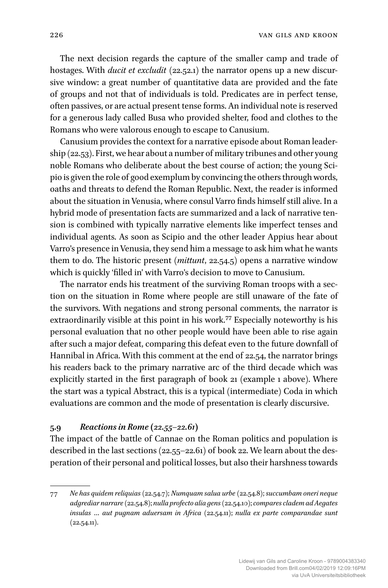The next decision regards the capture of the smaller camp and trade of hostages. With *ducit et excludit* (22.52.1) the narrator opens up a new discursive window: a great number of quantitative data are provided and the fate of groups and not that of individuals is told. Predicates are in perfect tense, often passives, or are actual present tense forms. An individual note is reserved for a generous lady called Busa who provided shelter, food and clothes to the Romans who were valorous enough to escape to Canusium.

Canusium provides the context for a narrative episode about Roman leadership (22.53). First, we hear about a number of military tribunes and other young noble Romans who deliberate about the best course of action; the young Scipio is given the role of good exemplum by convincing the others through words, oaths and threats to defend the Roman Republic. Next, the reader is informed about the situation in Venusia, where consul Varro finds himself still alive. In a hybrid mode of presentation facts are summarized and a lack of narrative tension is combined with typically narrative elements like imperfect tenses and individual agents. As soon as Scipio and the other leader Appius hear about Varro's presence in Venusia, they send him a message to ask him what he wants them to do. The historic present (*mittunt*, 22.54.5) opens a narrative window which is quickly 'filled in' with Varro's decision to move to Canusium.

The narrator ends his treatment of the surviving Roman troops with a section on the situation in Rome where people are still unaware of the fate of the survivors. With negations and strong personal comments, the narrator is extraordinarily visible at this point in his work.<sup>77</sup> Especially noteworthy is his personal evaluation that no other people would have been able to rise again after such a major defeat, comparing this defeat even to the future downfall of Hannibal in Africa. With this comment at the end of 22.54, the narrator brings his readers back to the primary narrative arc of the third decade which was explicitly started in the first paragraph of book 21 (example 1 above). Where the start was a typical Abstract, this is a typical (intermediate) Coda in which evaluations are common and the mode of presentation is clearly discursive.

### **5.9** *Reactions in Rome (22.55–22.61)*

The impact of the battle of Cannae on the Roman politics and population is described in the last sections (22.55–22.61) of book 22. We learn about the desperation of their personal and political losses, but also their harshness towards

<sup>77</sup> *Ne has quidem reliquias* (22.54.7); *Numquam salua urbe*(22.54.8); *succumbam oneri neque adgrediar narrare*(22.54.8); *nulla profecto alia gens*(22.54.10);*compares cladem ad Aegates insulas* … *aut pugnam aduersam in Africa* (22.54.11); *nulla ex parte comparandae sunt*  $(22.54.11).$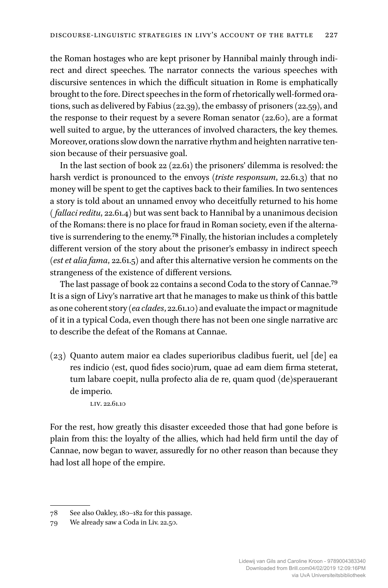the Roman hostages who are kept prisoner by Hannibal mainly through indirect and direct speeches. The narrator connects the various speeches with discursive sentences in which the difficult situation in Rome is emphatically brought to the fore. Direct speeches in the form of rhetorically well-formed orations, such as delivered by Fabius (22.39), the embassy of prisoners (22.59), and the response to their request by a severe Roman senator (22.60), are a format well suited to argue, by the utterances of involved characters, the key themes. Moreover, orations slow down the narrative rhythm and heighten narrative tension because of their persuasive goal.

In the last section of book 22 (22.61) the prisoners' dilemma is resolved: the harsh verdict is pronounced to the envoys (*triste responsum*, 22.61.3) that no money will be spent to get the captives back to their families. In two sentences a story is told about an unnamed envoy who deceitfully returned to his home ( *fallaci reditu*, 22.61.4) but was sent back to Hannibal by a unanimous decision of the Romans: there is no place for fraud in Roman society, even if the alternative is surrendering to the enemy.78 Finally, the historian includes a completely different version of the story about the prisoner's embassy in indirect speech (*est et alia fama*, 22.61.5) and after this alternative version he comments on the strangeness of the existence of different versions.

The last passage of book 22 contains a second Coda to the story of Cannae.79 It is a sign of Livy's narrative art that he manages to make us think of this battle as one coherent story (*ea clades*, 22.61.10) and evaluate the impact or magnitude of it in a typical Coda, even though there has not been one single narrative arc to describe the defeat of the Romans at Cannae.

(23) Quanto autem maior ea clades superioribus cladibus fuerit, uel [de] ea res indicio ⟨est, quod fides socio⟩rum, quae ad eam diem firma steterat, tum labare coepit, nulla profecto alia de re, quam quod ⟨de⟩sperauerant de imperio.

LIV. 22.61.10

For the rest, how greatly this disaster exceeded those that had gone before is plain from this: the loyalty of the allies, which had held firm until the day of Cannae, now began to waver, assuredly for no other reason than because they had lost all hope of the empire.

<sup>78</sup> See also Oakley, 180–182 for this passage.

<sup>79</sup> We already saw a Coda in Liv. 22.50.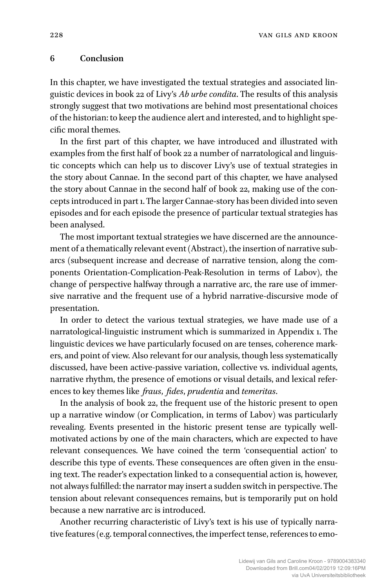#### **6 Conclusion**

In this chapter, we have investigated the textual strategies and associated linguistic devices in book 22 of Livy's *Ab urbe condita*. The results of this analysis strongly suggest that two motivations are behind most presentational choices of the historian: to keep the audience alert and interested, and to highlight specific moral themes.

In the first part of this chapter, we have introduced and illustrated with examples from the first half of book 22 a number of narratological and linguistic concepts which can help us to discover Livy's use of textual strategies in the story about Cannae. In the second part of this chapter, we have analysed the story about Cannae in the second half of book 22, making use of the concepts introduced in part 1. The larger Cannae-story has been divided into seven episodes and for each episode the presence of particular textual strategies has been analysed.

The most important textual strategies we have discerned are the announcement of a thematically relevant event (Abstract), the insertion of narrative subarcs (subsequent increase and decrease of narrative tension, along the components Orientation-Complication-Peak-Resolution in terms of Labov), the change of perspective halfway through a narrative arc, the rare use of immersive narrative and the frequent use of a hybrid narrative-discursive mode of presentation.

In order to detect the various textual strategies, we have made use of a narratological-linguistic instrument which is summarized in Appendix 1. The linguistic devices we have particularly focused on are tenses, coherence markers, and point of view. Also relevant for our analysis, though less systematically discussed, have been active-passive variation, collective vs. individual agents, narrative rhythm, the presence of emotions or visual details, and lexical references to key themes like *fraus*, *fides*, *prudentia* and *temeritas*.

In the analysis of book 22, the frequent use of the historic present to open up a narrative window (or Complication, in terms of Labov) was particularly revealing. Events presented in the historic present tense are typically wellmotivated actions by one of the main characters, which are expected to have relevant consequences. We have coined the term 'consequential action' to describe this type of events. These consequences are often given in the ensuing text. The reader's expectation linked to a consequential action is, however, not always fulfilled: the narrator may insert a sudden switch in perspective. The tension about relevant consequences remains, but is temporarily put on hold because a new narrative arc is introduced.

Another recurring characteristic of Livy's text is his use of typically narrative features (e.g. temporal connectives, the imperfect tense, references to emo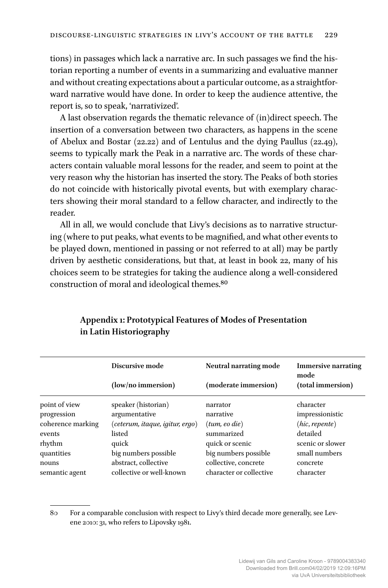tions) in passages which lack a narrative arc. In such passages we find the historian reporting a number of events in a summarizing and evaluative manner and without creating expectations about a particular outcome, as a straightforward narrative would have done. In order to keep the audience attentive, the report is, so to speak, 'narrativized'.

A last observation regards the thematic relevance of (in)direct speech. The insertion of a conversation between two characters, as happens in the scene of Abelux and Bostar (22.22) and of Lentulus and the dying Paullus (22.49), seems to typically mark the Peak in a narrative arc. The words of these characters contain valuable moral lessons for the reader, and seem to point at the very reason why the historian has inserted the story. The Peaks of both stories do not coincide with historically pivotal events, but with exemplary characters showing their moral standard to a fellow character, and indirectly to the reader.

All in all, we would conclude that Livy's decisions as to narrative structuring (where to put peaks, what events to be magnified, and what other events to be played down, mentioned in passing or not referred to at all) may be partly driven by aesthetic considerations, but that, at least in book 22, many of his choices seem to be strategies for taking the audience along a well-considered construction of moral and ideological themes.80

|                   | Discursive mode                 | Neutral narrating mode  | <b>Immersive narrating</b><br>mode |
|-------------------|---------------------------------|-------------------------|------------------------------------|
|                   | (low/no immersion)              | (moderate immersion)    | (total immersion)                  |
| point of view     | speaker (historian)             | narrator                | character                          |
| progression       | argumentative                   | narrative               | impressionistic                    |
| coherence marking | (ceterum, itaque, igitur, ergo) | (tum, eo die)           | (hic, repeate)                     |
| events            | listed                          | summarized              | detailed                           |
| rhythm            | quick                           | quick or scenic         | scenic or slower                   |
| quantities        | big numbers possible            | big numbers possible    | small numbers                      |
| nouns             | abstract, collective            | collective, concrete    | concrete                           |
| semantic agent    | collective or well-known        | character or collective | character                          |

## **Appendix 1: Prototypical Features of Modes of Presentation in Latin Historiography**

<sup>80</sup> For a comparable conclusion with respect to Livy's third decade more generally, see Levene 2010: 31, who refers to Lipovsky 1981.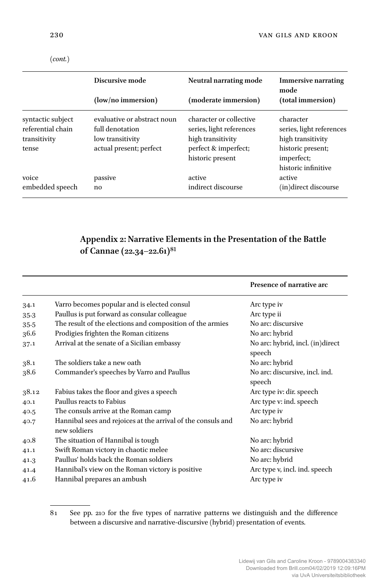|                                                                 | Discursive mode<br>(low/no immersion)                                                         | Neutral narrating mode<br>(moderate immersion)                                                                       | <b>Immersive narrating</b><br>mode<br>(total immersion)                                                              |
|-----------------------------------------------------------------|-----------------------------------------------------------------------------------------------|----------------------------------------------------------------------------------------------------------------------|----------------------------------------------------------------------------------------------------------------------|
|                                                                 |                                                                                               |                                                                                                                      |                                                                                                                      |
| syntactic subject<br>referential chain<br>transitivity<br>tense | evaluative or abstract noun<br>full denotation<br>low transitivity<br>actual present; perfect | character or collective<br>series, light references<br>high transitivity<br>perfect & imperfect;<br>historic present | character<br>series, light references<br>high transitivity<br>historic present;<br>imperfect;<br>historic infinitive |
| voice<br>embedded speech                                        | passive<br>no                                                                                 | active<br>indirect discourse                                                                                         | active<br>(in)direct discourse                                                                                       |

## **Appendix 2: Narrative Elements in the Presentation of the Battle of Cannae (22.34–22.61)**81

|        |                                                                              | Presence of narrative arc                  |
|--------|------------------------------------------------------------------------------|--------------------------------------------|
| 34.1   | Varro becomes popular and is elected consul                                  | Arc type iv                                |
| $35-3$ | Paullus is put forward as consular colleague                                 | Arc type ii                                |
| 35.5   | The result of the elections and composition of the armies                    | No arc: discursive                         |
| 36.6   | Prodigies frighten the Roman citizens                                        | No arc: hybrid                             |
| 37.1   | Arrival at the senate of a Sicilian embassy                                  | No arc: hybrid, incl. (in)direct<br>speech |
| 38.1   | The soldiers take a new oath                                                 | No arc: hybrid                             |
| 38.6   | Commander's speeches by Varro and Paullus                                    | No arc: discursive, incl. ind.<br>speech   |
| 38.12  | Fabius takes the floor and gives a speech                                    | Arc type iv: dir. speech                   |
| 40.1   | Paullus reacts to Fabius                                                     | Arc type v: ind. speech                    |
| 40.5   | The consuls arrive at the Roman camp                                         | Arc type iv                                |
| 40.7   | Hannibal sees and rejoices at the arrival of the consuls and<br>new soldiers | No arc: hybrid                             |
| 40.8   | The situation of Hannibal is tough                                           | No arc: hybrid                             |
| 41.1   | Swift Roman victory in chaotic melee                                         | No arc: discursive                         |
| 41.3   | Paullus' holds back the Roman soldiers                                       | No arc: hybrid                             |
| 41.4   | Hannibal's view on the Roman victory is positive                             | Arc type v, incl. ind. speech              |
| 41.6   | Hannibal prepares an ambush                                                  | Arc type iv                                |

<sup>81</sup> See pp. 210 for the five types of narrative patterns we distinguish and the difference between a discursive and narrative-discursive (hybrid) presentation of events.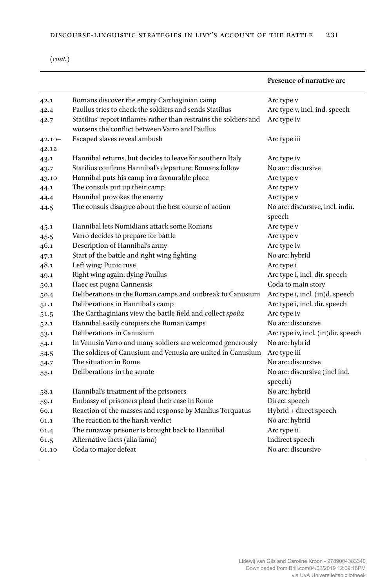| , |  |
|---|--|
|   |  |

|           |                                                                                                                     | Presence of narrative arc                |
|-----------|---------------------------------------------------------------------------------------------------------------------|------------------------------------------|
| 42.1      | Romans discover the empty Carthaginian camp                                                                         | Arc type v                               |
| 42.4      | Paullus tries to check the soldiers and sends Statilius                                                             | Arc type v, incl. ind. speech            |
| 42.7      | Statilius' report inflames rather than restrains the soldiers and<br>worsens the conflict between Varro and Paullus | Arc type iv                              |
| $42.10 -$ | Escaped slaves reveal ambush                                                                                        | Arc type iii                             |
| 42.12     |                                                                                                                     |                                          |
| 43.1      | Hannibal returns, but decides to leave for southern Italy                                                           | Arc type iv                              |
| 43.7      | Statilius confirms Hannibal's departure; Romans follow                                                              | No arc: discursive                       |
| 43.10     | Hannibal puts his camp in a favourable place                                                                        | Arc type v                               |
| 44.1      | The consuls put up their camp                                                                                       | Arc type v                               |
| 44.4      | Hannibal provokes the enemy                                                                                         | Arc type v                               |
| 44.5      | The consuls disagree about the best course of action                                                                | No arc: discursive, incl. indir.         |
|           |                                                                                                                     | speech                                   |
| 45.1      | Hannibal lets Numidians attack some Romans                                                                          | Arc type v                               |
| 45.5      | Varro decides to prepare for battle                                                                                 | Arc type v                               |
| 46.1      | Description of Hannibal's army                                                                                      | Arc type iv                              |
| 47.1      | Start of the battle and right wing fighting                                                                         | No arc: hybrid                           |
| 48.1      | Left wing: Punic ruse                                                                                               | Arc type i                               |
| 49.1      | Right wing again: dying Paullus                                                                                     | Arc type i, incl. dir. speech            |
| 50.1      | Haec est pugna Cannensis                                                                                            | Coda to main story                       |
| 50.4      | Deliberations in the Roman camps and outbreak to Canusium                                                           | Arc type i, incl. (in)d. speech          |
| 51.1      | Deliberations in Hannibal's camp                                                                                    | Arc type i, incl. dir. speech            |
| 51.5      | The Carthaginians view the battle field and collect spolia                                                          | Arc type iv                              |
| 52.1      | Hannibal easily conquers the Roman camps                                                                            | No arc: discursive                       |
| 53.1      | Deliberations in Canusium                                                                                           | Arc type iv, incl. (in)dir. speech       |
| 54.1      | In Venusia Varro and many soldiers are welcomed generously                                                          | No arc: hybrid                           |
| 54.5      | The soldiers of Canusium and Venusia are united in Canusium                                                         | Arc type iii                             |
| 54.7      | The situation in Rome                                                                                               | No arc: discursive                       |
| 55.1      | Deliberations in the senate                                                                                         | No arc: discursive (incl ind.<br>speech) |
| 58.1      | Hannibal's treatment of the prisoners                                                                               | No arc: hybrid                           |
| 59.1      | Embassy of prisoners plead their case in Rome                                                                       | Direct speech                            |
| 60.1      | Reaction of the masses and response by Manlius Torquatus                                                            | Hybrid + direct speech                   |
| 61.1      | The reaction to the harsh verdict                                                                                   | No arc: hybrid                           |
| 61.4      | The runaway prisoner is brought back to Hannibal                                                                    | Arc type ii                              |
| 61.5      | Alternative facts (alia fama)                                                                                       | Indirect speech                          |
| 61.10     | Coda to major defeat                                                                                                | No arc: discursive                       |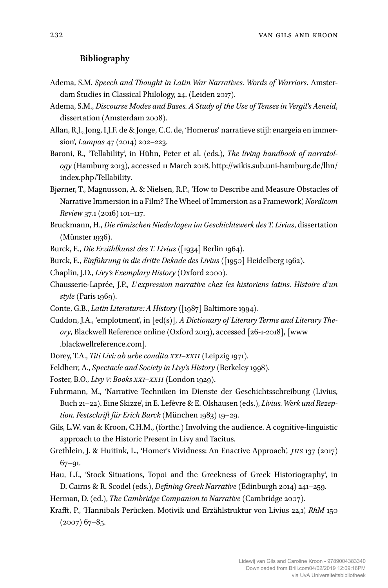#### **Bibliography**

- Adema, S.M. *Speech and Thought in Latin War Narratives. Words of Warriors*. Amsterdam Studies in Classical Philology, 24. (Leiden 2017).
- Adema, S.M., *Discourse Modes and Bases. A Study of the Use of Tenses in Vergil's Aeneid*, dissertation (Amsterdam 2008).
- Allan, R.J., Jong, I.J.F. de & Jonge, C.C. de, 'Homerus' narratieve stijl: enargeia en immersion', *Lampas* 47 (2014) 202–223.
- Baroni, R., 'Tellability', in Hühn, Peter et al. (eds.), *The living handbook of narratology* (Hamburg 2013), accessed 11 March 2018, [http://wikis.sub.uni‑hamburg.de/lhn/](http://wikis.sub.uni-hamburg.de/lhn/index.php/Tellability) [index.php/Tellability](http://wikis.sub.uni-hamburg.de/lhn/index.php/Tellability).
- Bjørner, T., Magnusson, A. & Nielsen, R.P., 'How to Describe and Measure Obstacles of Narrative Immersion in a Film? TheWheel of Immersion as a Framework', *Nordicom Review* 37.1 (2016) 101–117.
- Bruckmann, H., *Die römischen Niederlagen im Geschichtswerk des T. Livius*, dissertation (Münster 1936).
- Burck, E., *Die Erzählkunst des T. Livius* ([1934] Berlin 1964).
- Burck, E., *Einführung in die dritte Dekade des Livius* ([1950] Heidelberg 1962).
- Chaplin, J.D., *Livy's Exemplary History* (Oxford 2000).
- Chausserie-Laprée, J.P., *L' expression narrative chez les historiens latins. Histoire d'un style*(Paris 1969).
- Conte, G.B., *Latin Literature: A History* ([1987] Baltimore 1994).
- Cuddon, J.A., 'emplotment', in [ed(s)], *A Dictionary of Literary Terms and Literary Theory*, Blackwell Reference online (Oxford 2013), accessed [26-1-2018],[[www](http://www.blackwellreference.com) [.blackwellreference.com\]](http://www.blackwellreference.com).
- Dorey, T.A., *Titi Livi: ab urbe condita XXI–XXII* (Leipzig 1971).
- Feldherr, A., *Spectacle and Society in Livy's History* (Berkeley 1998).
- Foster, B.O., *Livy V: Books XXI–XXII* (London 1929).
- Fuhrmann, M., 'Narrative Techniken im Dienste der Geschichtsschreibung (Livius, Buch 21–22). Eine Skizze', in E. Lefèvre & E. Olshausen (eds.), *Livius.Werk und Rezeption. Festschrift für Erich Burck* (München 1983) 19–29.
- Gils, L.W. van & Kroon, C.H.M., (forthc.) Involving the audience. A cognitive-linguistic approach to the Historic Present in Livy and Tacitus.
- Grethlein, J. & Huitink, L., 'Homer's Vividness: An Enactive Approach', *JHS* 137 (2017) 67–91.
- Hau, L.I., 'Stock Situations, Topoi and the Greekness of Greek Historiography', in D. Cairns & R. Scodel (eds.), *Defining Greek Narrative*(Edinburgh 2014) 241–259.
- Herman, D. (ed.), *The Cambridge Companion to Narrative*(Cambridge 2007).
- Krafft, P., 'Hannibals Perücken. Motivik und Erzählstruktur von Livius 22,1', *RhM* 150  $(2007)$  67-85.